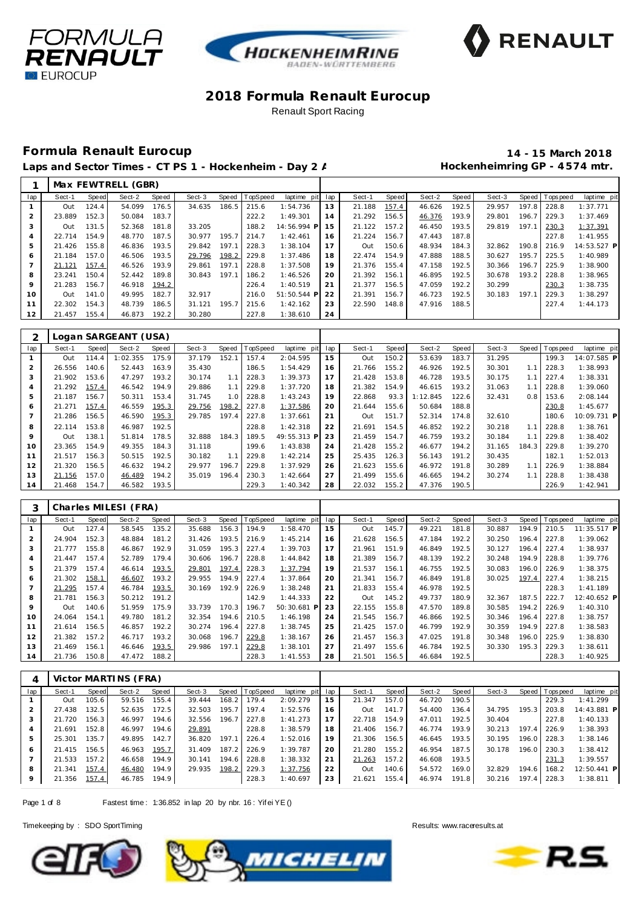





# **Formula Renault Eurocup 14 - 15 March 2018**

Laps and Sector Times - CT PS 1 - Hockenheim - Day 2 / **Marting Hockenheimring GP** - 4574 mtr.

|     |        |       | Max FEWTRELL (GBR) |       |        |       |          |             |     |        |       |        |       |        |       |                |             |
|-----|--------|-------|--------------------|-------|--------|-------|----------|-------------|-----|--------|-------|--------|-------|--------|-------|----------------|-------------|
| lap | Sect-1 | Speed | Sect-2             | Speed | Sect-3 | Speed | TopSpeed | laptime pit | lap | Sect-1 | Speed | Sect-2 | Speed | Sect-3 |       | Speed Topspeed | laptime pit |
|     | Out    | 124.4 | 54.099             | 176.5 | 34.635 | 186.5 | 215.6    | 1:54.736    | 13  | 21.188 | 157.4 | 46.626 | 192.5 | 29.957 | 197.8 | 228.8          | 1:37.771    |
|     | 23.889 | 152.3 | 50.084             | 183.7 |        |       | 222.2    | 1:49.301    | 14  | 21.292 | 156.5 | 46.376 | 193.9 | 29.801 | 196.7 | 229.3          | 1:37.469    |
|     | Out    | 131.5 | 52.368             | 181.8 | 33.205 |       | 188.2    | 14:56.994 P | 15  | 21.122 | 157.2 | 46.450 | 193.5 | 29.819 | 197.1 | 230.3          | 1:37.391    |
|     | 22.714 | 154.9 | 48.770             | 187.5 | 30.977 | 195.7 | 214.7    | 1:42.461    | 16  | 21.224 | 156.7 | 47.443 | 187.8 |        |       | 227.8          | 1:41.955    |
| 5   | 21.426 | 155.8 | 46.836             | 193.5 | 29.842 | 197.1 | 228.3    | 1:38.104    | 17  | Out    | 150.6 | 48.934 | 184.3 | 32.862 | 190.8 | 216.9          | 14:53.527 P |
| 6   | 21.184 | 157.0 | 46.506             | 193.5 | 29.796 | 198.2 | 229.8    | 1:37.486    | 18  | 22.474 | 154.9 | 47.888 | 188.5 | 30.627 | 195.7 | 225.5          | 1:40.989    |
|     | 21.121 | 157.4 | 46.526             | 193.9 | 29.861 | 197.1 | 228.8    | 1:37.508    | 19  | 21.376 | 155.4 | 47.158 | 192.5 | 30.366 | 196.7 | 225.9          | 1:38.900    |
| 8   | 23.241 | 150.4 | 52.442             | 189.8 | 30.843 | 197.1 | 186.2    | 1:46.526    | 20  | 21.392 | 156.1 | 46.895 | 192.5 | 30.678 | 193.2 | 228.8          | 1:38.965    |
| 9   | 21.283 | 156.7 | 46.918             | 194.2 |        |       | 226.4    | 1:40.519    | 21  | 21.377 | 156.5 | 47.059 | 192.2 | 30.299 |       | 230.3          | 1:38.735    |
| 10  | Out    | 141.0 | 49.995             | 182.7 | 32.917 |       | 216.0    | 51:50.544 P | 22  | 21.391 | 156.7 | 46.723 | 192.5 | 30.183 | 197.1 | 229.3          | 1:38.297    |
| 11  | 22.302 | 154.3 | 48.739             | 186.5 | 31.121 | 195.7 | 215.6    | 1:42.162    | 23  | 22.590 | 148.8 | 47.916 | 188.5 |        |       | 227.4          | 1:44.173    |
| 12  | 21.457 | 155.4 | 46.873             | 192.2 | 30.280 |       | 227.8    | 1:38.610    | 24  |        |       |        |       |        |       |                |             |

|                |        |       | Logan SARGEANT (USA) |       |        |       |                 |             |     |        |       |          |       |        |       |          |             |
|----------------|--------|-------|----------------------|-------|--------|-------|-----------------|-------------|-----|--------|-------|----------|-------|--------|-------|----------|-------------|
| lap            | Sect-1 | Speed | Sect-2               | Speed | Sect-3 | Speed | <b>TopSpeed</b> | laptime pit | lap | Sect-1 | Speed | Sect-2   | Speed | Sect-3 | Speed | Topspeed | laptime pit |
|                | Out    | 114.4 | 1:02.355             | 175.9 | 37.179 | 152.1 | 157.4           | 2:04.595    | 15  | Out    | 150.2 | 53.639   | 183.7 | 31.295 |       | 199.3    | 14:07.585 P |
| $\overline{2}$ | 26.556 | 140.6 | 52.443               | 163.9 | 35.430 |       | 186.5           | 1:54.429    | 16  | 21.766 | 155.2 | 46.926   | 192.5 | 30.301 | 1.1   | 228.3    | 1:38.993    |
| 3              | 21.902 | 153.6 | 47.297               | 193.2 | 30.174 | 1.1   | 228.3           | 1:39.373    | 17  | 21.428 | 153.8 | 46.728   | 193.5 | 30.175 | 1.1   | 227.4    | 1:38.331    |
| 4              | 21.292 | 157.4 | 46.542               | 194.9 | 29.886 | 1.1   | 229.8           | 1:37.720    | 18  | 21.382 | 154.9 | 46.615   | 193.2 | 31.063 | 1.1   | 228.8    | 1:39.060    |
| 5              | 21.187 | 156.7 | 50.311               | 153.4 | 31.745 | 1.0   | 228.8           | 1:43.243    | 19  | 22.868 | 93.3  | 1:12.845 | 122.6 | 32.431 | 0.8   | 153.6    | 2:08.144    |
| 6              | 21.271 | 157.4 | 46.559               | 195.3 | 29.756 | 198.2 | 227.8           | 1:37.586    | 20  | 21.644 | 155.6 | 50.684   | 188.8 |        |       | 230.8    | 1:45.677    |
|                | 21.286 | 156.5 | 46.590               | 195.3 | 29.785 | 197.4 | 227.8           | 1:37.661    | 21  | Out    | 151.7 | 52.314   | 174.8 | 32.610 |       | 180.6    | 10:09.731 P |
| 8              | 22.114 | 153.8 | 46.987               | 192.5 |        |       | 228.8           | 1:42.318    | 22  | 21.691 | 154.5 | 46.852   | 192.2 | 30.218 | 1.1   | 228.8    | 1:38.761    |
| 9              | Out    | 138.1 | 51.814               | 178.5 | 32.888 | 184.3 | 189.5           | 49:55.313 P | 23  | 21.459 | 154.7 | 46.759   | 193.2 | 30.184 | 1.1   | 229.8    | 1:38.402    |
| 10             | 23.365 | 154.9 | 49.355               | 184.3 | 31.118 |       | 199.6           | 1:43.838    | 24  | 21.428 | 155.2 | 46.677   | 194.2 | 31.165 | 184.3 | 229.8    | 1:39.270    |
| 11             | 21.517 | 156.3 | 50.515               | 192.5 | 30.182 | 1.1   | 229.8           | 1:42.214    | 25  | 25.435 | 126.3 | 56.143   | 191.2 | 30.435 |       | 182.1    | 1:52.013    |
| 12             | 21.320 | 156.5 | 46.632               | 194.2 | 29.977 | 196.7 | 229.8           | 1:37.929    | 26  | 21.623 | 155.6 | 46.972   | 191.8 | 30.289 | 1.1   | 226.9    | 1:38.884    |
| 13             | 21.156 | 157.0 | 46.489               | 194.2 | 35.019 | 196.4 | 230.3           | 1:42.664    | 27  | 21.499 | 155.6 | 46.665   | 194.2 | 30.274 | 1.1   | 228.8    | 1:38.438    |
| 14             | 21.468 | 154.7 | 46.582               | 193.5 |        |       | 229.3           | 1:40.342    | 28  | 22.032 | 155.2 | 47.376   | 190.5 |        |       | 226.9    | 1:42.941    |

|                |        |       | Charles MILESI (FRA) |       |        |       |          |             |     |        |       |        |       |        |       |           |             |
|----------------|--------|-------|----------------------|-------|--------|-------|----------|-------------|-----|--------|-------|--------|-------|--------|-------|-----------|-------------|
| lap            | Sect-1 | Speed | Sect-2               | Speed | Sect-3 | Speed | TopSpeed | laptime pit | lap | Sect-1 | Speed | Sect-2 | Speed | Sect-3 | Speed | Tops peed | laptime pit |
|                | Out    | 127.4 | 58.545               | 135.2 | 35.688 | 156.3 | 194.9    | 1:58.470    | 15  | Out    | 145.7 | 49.221 | 181.8 | 30.887 | 194.9 | 210.5     | 11:35.517 P |
| $\overline{2}$ | 24.904 | 152.3 | 48.884               | 181.2 | 31.426 | 193.5 | 216.9    | 1:45.214    | 16  | 21.628 | 156.5 | 47.184 | 192.2 | 30.250 | 196.4 | 227.8     | 1:39.062    |
| 3              | 21.777 | 155.8 | 46.867               | 192.9 | 31.059 | 195.3 | 227.4    | 1:39.703    | 17  | 21.961 | 151.9 | 46.849 | 192.5 | 30.127 | 196.4 | 227.4     | 1:38.937    |
| 4              | 21.447 | 157.4 | 52.789               | 179.4 | 30.606 | 196.7 | 228.8    | 1:44.842    | 18  | 21.389 | 156.7 | 48.139 | 192.2 | 30.248 | 194.9 | 228.8     | 1:39.776    |
| 5              | 21.379 | 157.4 | 46.614               | 193.5 | 29.801 | 197.4 | 228.3    | 1:37.794    | 19  | 21.537 | 156.1 | 46.755 | 192.5 | 30.083 | 196.0 | 226.9     | 1:38.375    |
| 6              | 21.302 | 158.1 | 46.607               | 193.2 | 29.955 | 194.9 | 227.4    | 1:37.864    | 20  | 21.341 | 156.7 | 46.849 | 191.8 | 30.025 | 197.4 | 227.4     | 1:38.215    |
|                | 21.295 | 157.4 | 46.784               | 193.5 | 30.169 | 192.9 | 226.9    | 1:38.248    | 21  | 21.833 | 155.4 | 46.978 | 192.5 |        |       | 228.3     | 1:41.189    |
| 8              | 21.781 | 156.3 | 50.212               | 191.2 |        |       | 142.9    | 1:44.333    | 22  | Out    | 145.2 | 49.737 | 180.9 | 32.367 | 187.5 | 222.7     | 12:40.652 P |
| 9              | Out    | 140.6 | 51.959               | 175.9 | 33.739 | 170.3 | 196.7    | 50:30.681 P | 23  | 22.155 | 155.8 | 47.570 | 189.8 | 30.585 | 194.2 | 226.9     | 1:40.310    |
| 10             | 24.064 | 154.1 | 49.780               | 181.2 | 32.354 | 194.6 | 210.5    | 1:46.198    | 24  | 21.545 | 156.7 | 46.866 | 192.5 | 30.346 | 196.4 | 227.8     | 1:38.757    |
| 11             | 21.614 | 156.5 | 46.857               | 192.2 | 30.274 | 196.4 | 227.8    | 1:38.745    | 25  | 21.425 | 157.0 | 46.799 | 192.9 | 30.359 | 194.9 | 227.8     | 1:38.583    |
| 12             | 21.382 | 157.2 | 46.717               | 193.2 | 30.068 | 196.7 | 229.8    | 1:38.167    | 26  | 21.457 | 156.3 | 47.025 | 191.8 | 30.348 | 196.0 | 225.9     | 1:38.830    |
| 13             | 21.469 | 156.1 | 46.646               | 193.5 | 29.986 | 197.1 | 229.8    | 1:38.101    | 27  | 21.497 | 155.6 | 46.784 | 192.5 | 30.330 | 195.3 | 229.3     | 1:38.611    |
| 14             | 21.736 | 150.8 | 47.472               | 188.2 |        |       | 228.3    | 1:41.553    | 28  | 21.501 | 156.5 | 46.684 | 192.5 |        |       | 228.3     | 1:40.925    |

|     |        |       | Victor MARTINS (FRA) |       |        |       |                |                 |    |        |       |        |       |        |       |            |             |  |
|-----|--------|-------|----------------------|-------|--------|-------|----------------|-----------------|----|--------|-------|--------|-------|--------|-------|------------|-------------|--|
| lap | Sect-1 | Speed | Sect-2               | Speed | Sect-3 |       | Speed TopSpeed | laptime pit lap |    | Sect-1 | Speed | Sect-2 | Speed | Sect-3 | Speed | T ops peed | laptime pit |  |
|     | Out    | 105.6 | 59.516               | 155.4 | 39.444 | 168.2 | 179.4          | 2:09.279        | 15 | 21.347 | 157.0 | 46.720 | 190.5 |        |       | 229.3      | 1:41.299    |  |
|     | 27.438 | 132.5 | 52.635               | 172.5 | 32.503 | 195.7 | 197.4          | 1:52.576        | 16 | Out    | 141.7 | 54.400 | 136.4 | 34.795 | 195.3 | 203.8      | 14:43.881 P |  |
|     | 21.720 | 156.3 | 46.997               | 194.6 | 32.556 | 196.7 | 227.8          | 1:41.273        | 17 | 22.718 | 154.9 | 47.011 | 192.5 | 30.404 |       | 227.8      | 1:40.133    |  |
|     | 21.691 | 152.8 | 46.997               | 194.6 | 29.891 |       | 228.8          | 1:38.579        | 18 | 21.406 | 156.7 | 46.774 | 193.9 | 30.213 | 197.4 | 226.9      | 1:38.393    |  |
|     | 25.301 | 135.7 | 49.895               | 142.7 | 36.820 | 197.1 | 226.4          | 1:52.016        | 19 | 21.306 | 156.5 | 46.645 | 193.5 | 30.195 | 196.0 | 228.3      | 1:38.146    |  |
| 6   | 21.415 | 156.5 | 46.963               | 195.7 | 31.409 | 187.2 | 226.9          | 1:39.787        | 20 | 21.280 | 155.2 | 46.954 | 187.5 | 30.178 | 196.0 | 230.3      | 1:38.412    |  |
|     | 21.533 | 157.2 | 46.658               | 194.9 | 30.141 | 194.6 | 228.8          | 1:38.332        | 21 | 21.263 | 157.2 | 46.608 | 193.5 |        |       | 231.3      | 1:39.557    |  |
| 8   | 21.341 | 157.4 | 46.480               | 194.9 | 29.935 | 198.2 | 229.3          | 1:37.756        | 22 | Out    | 140.6 | 54.572 | 169.0 | 32.829 | 194.6 | 168.2      | 12:50.441 P |  |
| 9   | 21.356 | 157.4 | 46.785               | 194.9 |        |       | 228.3          | 1:40.697        | 23 | 21.621 | 155.4 | 46.974 | 191.8 | 30.216 | 197.4 | 228.3      | 1:38.811    |  |

Page 1 of 8 Fastest time: 1:36.852 in lap 20 by nbr. 16: Yif ei YE ()





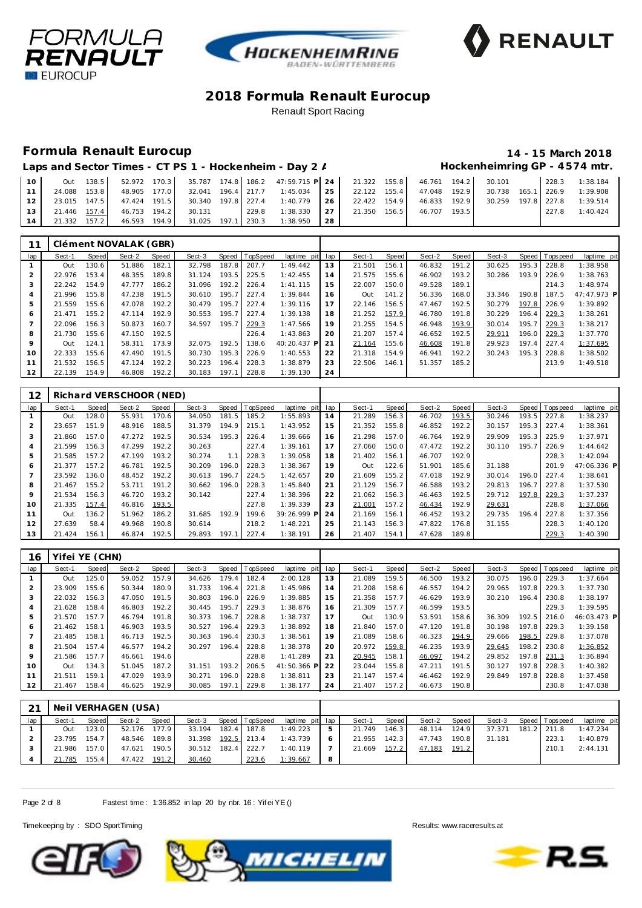





## **Formula Renault Eurocup 14 - 15 March 2018**

#### Laps and Sector Times - CT PS 1 - Hockenheim - Day 2 / **Hockenheimring GP** - 4574 mtr.

| 10 <sup>1</sup> | Out          |  |                                 |  | $138.5$ 52.972 170.3 35.787 174.8 186.2 47:59.715 P 24 21.322 155.8 46.761 194.2 30.101 |  |  |  | 228.3 | 1:38.184                       |
|-----------------|--------------|--|---------------------------------|--|-----------------------------------------------------------------------------------------|--|--|--|-------|--------------------------------|
| 11              | 24.088 153.8 |  |                                 |  | 48.905 177.0 32.041 196.4 217.7 1:45.034 25 22.122 155.4 47.048 192.9                   |  |  |  |       | 30.738  165.1  226.9  1:39.908 |
| 12 <sub>1</sub> |              |  |                                 |  | 23.015 147.5 47.424 191.5 30.340 197.8 227.4 1:40.779 26 22.422 154.9 46.833 192.9      |  |  |  |       | 30.259 197.8 227.8 1:39.514    |
| 13 <sup>1</sup> |              |  |                                 |  | 21.446 157.4 46.753 194.2 30.131 229.8 1:38.330 27 21.350 156.5 46.707 193.5            |  |  |  | 227.8 | 1:40.424                       |
| 14 I            | 21.332 157.2 |  | 46.593 194.9 31.025 197.1 230.3 |  | 1:38.950 28                                                                             |  |  |  |       |                                |

|                 |        |       | Clément NOVALAK (GBR) |       |        |       |          |                 |    |        |       |        |       |        |       |                |             |
|-----------------|--------|-------|-----------------------|-------|--------|-------|----------|-----------------|----|--------|-------|--------|-------|--------|-------|----------------|-------------|
| lap             | Sect-1 | Speed | Sect-2                | Speed | Sect-3 | Speed | TopSpeed | laptime pit lap |    | Sect-1 | Speed | Sect-2 | Speed | Sect-3 |       | Speed Topspeed | laptime pit |
|                 | Out    | 130.6 | 51.886                | 182.1 | 32.798 | 187.8 | 207.7    | 1:49.442        | 13 | 21.501 | 156.1 | 46.832 | 191.2 | 30.625 | 195.3 | 228.8          | 1:38.958    |
|                 | 22.976 | 153.4 | 48.355                | 189.8 | 31.124 | 193.5 | 225.5    | 1:42.455        | 14 | 21.575 | 155.6 | 46.902 | 193.2 | 30.286 | 193.9 | 226.9          | 1:38.763    |
|                 | 22.242 | 154.9 | 47.777                | 186.2 | 31.096 | 192.2 | 226.4    | 1:41.115        | 15 | 22.007 | 150.0 | 49.528 | 189.1 |        |       | 214.3          | 1:48.974    |
|                 | 21.996 | 155.8 | 47.238                | 191.5 | 30.610 | 195.7 | 227.4    | 1:39.844        | 16 | Out    | 141.2 | 56.336 | 168.0 | 33.346 | 190.8 | 187.5          | 47:47.973 P |
| 5               | 21.559 | 155.6 | 47.078                | 192.2 | 30.479 | 195.7 | 227.4    | 1:39.116        | 17 | 22.146 | 156.5 | 47.467 | 192.5 | 30.279 | 197.8 | 226.9          | 1:39.892    |
| 6               | 21.471 | 155.2 | 47.114                | 192.9 | 30.553 | 195.7 | 227.4    | 1:39.138        | 18 | 21.252 | 157.9 | 46.780 | 191.8 | 30.229 | 196.4 | 229.3          | 1:38.261    |
|                 | 22.096 | 156.3 | 50.873                | 160.7 | 34.597 | 195.7 | 229.3    | 1:47.566        | 19 | 21.255 | 154.5 | 46.948 | 193.9 | 30.014 | 195.7 | 229.3          | 1:38.217    |
| 8               | 21.730 | 155.6 | 47.150                | 192.5 |        |       | 226.4    | 1:43.863        | 20 | 21.207 | 157.4 | 46.652 | 192.5 | 29.911 | 196.0 | 229.3          | 1:37.770    |
| 9               | Out    | 124.1 | 58.311                | 173.9 | 32.075 | 192.5 | 138.6    | 40:20.437 P     | 21 | 21.164 | 155.6 | 46.608 | 191.8 | 29.923 | 197.4 | 227.4          | 1:37.695    |
| 10              | 22.333 | 155.6 | 47.490                | 191.5 | 30.730 | 195.3 | 226.9    | 1:40.553        | 22 | 21.318 | 154.9 | 46.941 | 192.2 | 30.243 | 195.3 | 228.8          | 1:38.502    |
| 11              | 21.532 | 156.5 | 47.124                | 192.2 | 30.223 | 196.4 | 228.3    | 1:38.879        | 23 | 22.506 | 146.1 | 51.357 | 185.2 |        |       | 213.9          | 1:49.518    |
| 12 <sup>1</sup> | 22.139 | 154.9 | 46.808                | 192.2 | 30.183 | 197.1 | 228.8    | 1:39.130        | 24 |        |       |        |       |        |       |                |             |

| 12             |        |       | Richard VERSCHOOR (NED) |       |        |       |          |             |     |        |       |        |       |        |       |                |             |
|----------------|--------|-------|-------------------------|-------|--------|-------|----------|-------------|-----|--------|-------|--------|-------|--------|-------|----------------|-------------|
| lap            | Sect-1 | Speed | Sect-2                  | Speed | Sect-3 | Speed | TopSpeed | laptime pit | lap | Sect-1 | Speed | Sect-2 | Speed | Sect-3 |       | Speed Topspeed | laptime pit |
|                | Out    | 128.0 | 55.931                  | 170.6 | 34.050 | 181.5 | 185.2    | 1:55.893    | 14  | 21.289 | 156.3 | 46.702 | 193.5 | 30.246 | 193.5 | 227.8          | 1:38.237    |
| 2              | 23.657 | 151.9 | 48.916                  | 188.5 | 31.379 | 194.9 | 215.1    | 1:43.952    | 15  | 21.352 | 155.8 | 46.852 | 192.2 | 30.157 | 195.3 | 227.4          | 1:38.361    |
| 3              | 21.860 | 157.0 | 47.272                  | 192.5 | 30.534 | 195.3 | 226.4    | 1:39.666    | 16  | 21.298 | 157.0 | 46.764 | 192.9 | 29.909 | 195.3 | 225.9          | 1:37.971    |
| 4              | 21.599 | 156.3 | 47.299                  | 192.2 | 30.263 |       | 227.4    | 1:39.161    | 17  | 27.060 | 150.0 | 47.472 | 192.2 | 30.110 | 195.7 | 226.9          | 1:44.642    |
| 5              | 21.585 | 157.2 | 47.199                  | 193.2 | 30.274 | 1.1   | 228.3    | 1:39.058    | 18  | 21.402 | 156.1 | 46.707 | 192.9 |        |       | 228.3          | 1:42.094    |
| 6              | 21.377 | 157.2 | 46.781                  | 192.5 | 30.209 | 196.0 | 228.3    | 1:38.367    | 19  | Out    | 122.6 | 51.901 | 185.6 | 31.188 |       | 201.9          | 47:06.336 P |
| $\overline{7}$ | 23.592 | 136.0 | 48.452                  | 192.2 | 30.613 | 196.7 | 224.5    | 1:42.657    | 20  | 21.609 | 155.2 | 47.018 | 192.9 | 30.014 | 196.0 | 227.4          | 1:38.641    |
| 8              | 21.467 | 155.2 | 53.711                  | 191.2 | 30.662 | 196.0 | 228.3    | 1:45.840    | 21  | 21.129 | 156.7 | 46.588 | 193.2 | 29.813 | 196.7 | 227.8          | 1:37.530    |
| 9              | 21.534 | 156.3 | 46.720                  | 193.2 | 30.142 |       | 227.4    | 1:38.396    | 22  | 21.062 | 156.3 | 46.463 | 192.5 | 29.712 | 197.8 | 229.3          | 1:37.237    |
| 10             | 21.335 | 157.4 | 46.816                  | 193.5 |        |       | 227.8    | 1:39.339    | 23  | 21.001 | 157.2 | 46.434 | 192.9 | 29.631 |       | 228.8          | 1:37.066    |
| 11             | Out    | 136.2 | 51.962                  | 186.2 | 31.685 | 192.9 | 199.6    | 39:26.999 P | 24  | 21.169 | 156.1 | 46.452 | 193.2 | 29.735 | 196.4 | 227.8          | 1:37.356    |
| 12             | 27.639 | 58.4  | 49.968                  | 190.8 | 30.614 |       | 218.2    | 1:48.221    | 25  | 21.143 | 156.3 | 47.822 | 176.8 | 31.155 |       | 228.3          | 1:40.120    |
| 13             | 21.424 | 156.1 | 46.874                  | 192.5 | 29.893 | 197.1 | 227.4    | 1:38.191    | 26  | 21.407 | 154.1 | 47.628 | 189.8 |        |       | 229.3          | 1:40.390    |

| 16              | Yifei YE (CHN) |       |        |       |        |       |                |             |     |        |       |        |       |        |       |            |             |
|-----------------|----------------|-------|--------|-------|--------|-------|----------------|-------------|-----|--------|-------|--------|-------|--------|-------|------------|-------------|
| lap             | Sect-1         | Speed | Sect-2 | Speed | Sect-3 |       | Speed TopSpeed | laptime pit | lap | Sect-1 | Speed | Sect-2 | Speed | Sect-3 | Speed | T ops peed | laptime pit |
|                 | Out            | 125.0 | 59.052 | 157.9 | 34.626 | 179.4 | 182.4          | 2:00.128    | 13  | 21.089 | 159.5 | 46.500 | 193.2 | 30.075 | 196.0 | 229.3      | 1:37.664    |
|                 | 23.909         | 155.6 | 50.344 | 180.9 | 31.733 | 196.4 | 221.8          | 1:45.986    | 14  | 21.208 | 158.6 | 46.557 | 194.2 | 29.965 | 197.8 | 229.3      | 1:37.730    |
| 3               | 22.032         | 156.3 | 47.050 | 191.5 | 30.803 | 196.0 | 226.9          | 1:39.885    | 15  | 21.358 | 157.7 | 46.629 | 193.9 | 30.210 | 196.4 | 230.8      | 1:38.197    |
| 4               | 21.628         | 158.4 | 46.803 | 192.2 | 30.445 | 195.7 | 229.3          | 1:38.876    | 16  | 21.309 | 157.7 | 46.599 | 193.5 |        |       | 229.3      | 1:39.595    |
| 5               | 21.570         | 157.7 | 46.794 | 191.8 | 30.373 | 196.7 | 228.8          | 1:38.737    | 17  | Out    | 130.9 | 53.591 | 158.6 | 36.309 | 192.5 | 216.0      | 46:03.473 P |
| 6               | 21.462         | 158.1 | 46.903 | 193.5 | 30.527 | 196.4 | 229.3          | 1:38.892    | 18  | 21.840 | 157.0 | 47.120 | 191.8 | 30.198 | 197.8 | 229.3      | 1:39.158    |
|                 | 21.485         | 158.1 | 46.713 | 192.5 | 30.363 | 196.4 | 230.3          | 1:38.561    | 19  | 21.089 | 158.6 | 46.323 | 194.9 | 29.666 | 198.5 | 229.8      | 1:37.078    |
| 8               | 21.504         | 157.4 | 46.577 | 194.2 | 30.297 | 196.4 | 228.8          | 1:38.378    | 20  | 20.972 | 159.8 | 46.235 | 193.9 | 29.645 | 198.2 | 230.8      | 1:36.852    |
| 9               | 21.586         | 157.7 | 46.661 | 194.6 |        |       | 228.8          | 1:41.289    | 21  | 20.945 | 158.1 | 46.097 | 194.2 | 29.852 | 197.8 | 231.3      | 1:36.894    |
| 10              | Out            | 134.3 | 51.045 | 187.2 | 31.151 | 193.2 | 206.5          | 41:50.366 P | 22  | 23.044 | 155.8 | 47.211 | 191.5 | 30.127 | 197.8 | 228.3      | 1:40.382    |
| 11              | 21.511         | 159.1 | 47.029 | 193.9 | 30.271 | 196.0 | 228.8          | 1:38.811    | 23  | 21.147 | 157.4 | 46.462 | 192.9 | 29.849 | 197.8 | 228.8      | 1:37.458    |
| 12 <sub>2</sub> | 21.467         | 158.4 | 46.625 | 192.9 | 30.085 | 197.1 | 229.8          | 1:38.177    | 24  | 21.407 | 157.2 | 46.673 | 190.8 |        |       | 230.8      | 1:47.038    |

| 21  |        |        | Neil VERHAGEN (USA) |        |        |                |                 |   |        |         |        |       |        |                 |             |
|-----|--------|--------|---------------------|--------|--------|----------------|-----------------|---|--------|---------|--------|-------|--------|-----------------|-------------|
| lap | Sect-1 | Speed  | Sect-2              | Speed  | Sect-3 | Speed TopSpeed | laptime pit lap |   | Sect-1 | Speed I | Sect-2 | Speed | Sect-3 | Speed Tops peed | laptime pit |
|     | Out    | 123.01 | 52.176              | 177.91 | 33.194 | 182.4 187.8    | 1:49.223        | 5 | 21.749 | 146.31  | 48.114 | 124.9 | 37.371 | 181.2 211.8     | 1:47.234    |
|     | 23.795 | 154.7  | 48.546              | 189.8  | 31.398 | 192.5 213.4    | 1:43.739        | 6 | 21.955 | 142.3   | 47.743 | 190.8 | 31.181 | 223.1           | 1:40.879    |
|     | 21.986 | 157.0  | 47.621              | 190.5  | 30.512 | 182.4 222.7    | 1:40.119        |   | 21.669 | 157.2   | 47.183 | 191.2 |        | 210.1           | 2: 44.131   |
|     | 21.785 | 155.4  | 47.422              | 191.2  | 30.460 | 223.6          | 1:39.667        | 8 |        |         |        |       |        |                 |             |

Page 2 of 8 Fastest time: 1:36.852 in lap 20 by nbr. 16: Yif ei YE ()





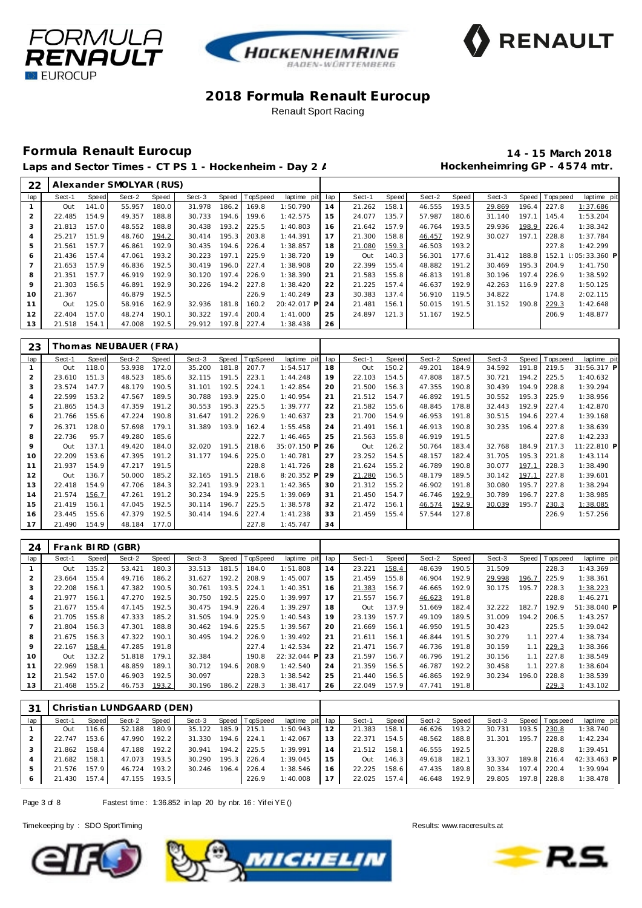





# **Formula Renault Eurocup 14 - 15 March 2018**

Laps and Sector Times - CT PS 1 - Hockenheim - Day 2 / **Marting Hockenheimring GP** - 4574 mtr.

| 22             |        |       | Alexander SMOLYAR (RUS) |       |        |       |             |             |     |        |       |        |       |        |       |                |                       |
|----------------|--------|-------|-------------------------|-------|--------|-------|-------------|-------------|-----|--------|-------|--------|-------|--------|-------|----------------|-----------------------|
| lap            | Sect-1 | Speed | Sect-2                  | Speed | Sect-3 | Speed | TopSpeed    | laptime pit | lap | Sect-1 | Speed | Sect-2 | Speed | Sect-3 |       | Speed Topspeed | laptime pit           |
|                | Out    | 141.0 | 55.957                  | 180.0 | 31.978 | 186.2 | 169.8       | 1:50.790    | 14  | 21.262 | 158.1 | 46.555 | 193.5 | 29.869 | 196.4 | 227.8          | 1:37.686              |
|                | 22.485 | 154.9 | 49.357                  | 188.8 | 30.733 | 194.6 | 199.6       | 1:42.575    | 15  | 24.077 | 135.7 | 57.987 | 180.6 | 31.140 | 197.1 | 145.4          | 1:53.204              |
|                | 21.813 | 157.0 | 48.552                  | 188.8 | 30.438 | 193.2 | 225.5       | 1:40.803    | 16  | 21.642 | 157.9 | 46.764 | 193.5 | 29.936 |       | 198.9 226.4    | 1:38.342              |
| $\overline{4}$ | 25.217 | 151.9 | 48.760                  | 194.2 | 30.414 | 195.3 | 203.8       | 1:44.391    | 17  | 21.300 | 158.8 | 46.457 | 192.9 | 30.027 | 197.1 | 228.8          | 1:37.784              |
| 5              | 21.561 | 157.7 | 46.861                  | 192.9 | 30.435 | 194.6 | 226.4       | 1:38.857    | 18  | 21.080 | 159.3 | 46.503 | 193.2 |        |       | 227.8          | 1:42.299              |
| 6              | 21.436 | 157.4 | 47.061                  | 193.2 | 30.223 | 197.1 | 225.9       | 1:38.720    | 19  | Out    | 140.3 | 56.301 | 177.6 | 31.412 | 188.8 | 152.1          | $\mid$ : 05: 33.360 P |
|                | 21.653 | 157.9 | 46.836                  | 192.5 | 30.419 | 196.0 | 227.4       | 1:38.908    | 20  | 22.399 | 155.4 | 48.882 | 191.2 | 30.469 | 195.3 | 204.9          | 1:41.750              |
| 8              | 21.351 | 157.7 | 46.919                  | 192.9 | 30.120 | 197.4 | 226.9       | 1:38.390    | 21  | 21.583 | 155.8 | 46.813 | 191.8 | 30.196 |       | 197.4 226.9    | 1:38.592              |
| 9              | 21.303 | 156.5 | 46.891                  | 192.9 | 30.226 | 194.2 | 227.8       | 1:38.420    | 22  | 21.225 | 157.4 | 46.637 | 192.9 | 42.263 |       | $116.9$ 227.8  | 1:50.125              |
| 10             | 21.367 |       | 46.879                  | 192.5 |        |       | 226.9       | 1:40.249    | 23  | 30.383 | 137.4 | 56.910 | 119.5 | 34.822 |       | 174.8          | 2:02.115              |
| 11             | Out    | 125.0 | 58.916                  | 162.9 | 32.936 | 181.8 | 160.2       | 20:42.017 P | 24  | 21.481 | 156.1 | 50.015 | 191.5 | 31.152 | 190.8 | 229.3          | 1:42.648              |
| 12             | 22.404 | 157.0 | 48.274                  | 190.1 | 30.322 | 197.4 | 200.4       | 1:41.000    | 25  | 24.897 | 121.3 | 51.167 | 192.5 |        |       | 206.9          | 1:48.877              |
| 13             | 21.518 | 154.1 | 47.008                  | 192.5 | 29.912 |       | 197.8 227.4 | 1:38.438    | 26  |        |       |        |       |        |       |                |                       |

| 23  |        |       | [homas NEUBAUER (FRA) |       |        |       |                  |             |     |        |              |        |       |        |       |                |             |
|-----|--------|-------|-----------------------|-------|--------|-------|------------------|-------------|-----|--------|--------------|--------|-------|--------|-------|----------------|-------------|
| lap | Sect-1 | Speed | Sect-2                | Speed | Sect-3 |       | Speed   TopSpeed | laptime pit | lap | Sect-1 | <b>Speed</b> | Sect-2 | Speed | Sect-3 |       | Speed Topspeed | laptime pit |
|     | Out    | 118.0 | 53.938                | 172.0 | 35.200 | 181.8 | 207.7            | 1:54.517    | 18  | Out    | 150.2        | 49.201 | 184.9 | 34.592 | 191.8 | 219.5          | 31:56.317 P |
|     | 23.610 | 151.3 | 48.523                | 185.6 | 32.115 | 191.5 | 223.1            | 1:44.248    | 19  | 22.103 | 154.5        | 47.808 | 187.5 | 30.721 | 194.2 | 225.5          | 1:40.632    |
| 3   | 23.574 | 147.7 | 48.179                | 190.5 | 31.101 | 192.5 | 224.1            | 1:42.854    | 20  | 21.500 | 156.3        | 47.355 | 190.8 | 30.439 | 194.9 | 228.8          | 1:39.294    |
| 4   | 22.599 | 153.2 | 47.567                | 189.5 | 30.788 | 193.9 | 225.0            | 1:40.954    | 21  | 21.512 | 154.7        | 46.892 | 191.5 | 30.552 | 195.3 | 225.9          | 1:38.956    |
| 5   | 21.865 | 154.3 | 47.359                | 191.2 | 30.553 | 195.3 | 225.5            | 1:39.777    | 22  | 21.582 | 155.6        | 48.845 | 178.8 | 32.443 | 192.9 | 227.4          | 1:42.870    |
| 6   | 21.766 | 155.6 | 47.224                | 190.8 | 31.647 | 191.2 | 226.9            | 1:40.637    | 23  | 21.700 | 154.9        | 46.953 | 191.8 | 30.515 | 194.6 | 227.4          | 1:39.168    |
|     | 26.371 | 128.0 | 57.698                | 179.1 | 31.389 | 193.9 | 162.4            | 1:55.458    | 24  | 21.491 | 156.1        | 46.913 | 190.8 | 30.235 | 196.4 | 227.8          | 1:38.639    |
| 8   | 22.736 | 95.7  | 49.280                | 185.6 |        |       | 222.7            | 1:46.465    | 25  | 21.563 | 155.8        | 46.919 | 191.5 |        |       | 227.8          | 1:42.233    |
| 9   | Out    | 137.1 | 49.420                | 184.0 | 32.020 | 191.5 | 218.6            | 35:07.150 P | 26  | Out    | 126.2        | 50.764 | 183.4 | 32.768 | 184.9 | 217.3          | 11:22.810 P |
| 10  | 22.209 | 153.6 | 47.395                | 191.2 | 31.177 | 194.6 | 225.0            | 1:40.781    | 27  | 23.252 | 154.5        | 48.157 | 182.4 | 31.705 | 195.3 | 221.8          | 1:43.114    |
| 11  | 21.937 | 154.9 | 47.217                | 191.5 |        |       | 228.8            | 1:41.726    | 28  | 21.624 | 155.2        | 46.789 | 190.8 | 30.077 | 197.1 | 228.3          | 1:38.490    |
| 12  | Out    | 136.7 | 50.000                | 185.2 | 32.165 | 191.5 | 218.6            | 8:20.352 P  | 29  | 21.280 | 156.5        | 48.179 | 189.5 | 30.142 | 197.1 | 227.8          | 1:39.601    |
| 13  | 22.418 | 154.9 | 47.706                | 184.3 | 32.241 | 193.9 | 223.1            | 1:42.365    | 30  | 21.312 | 155.2        | 46.902 | 191.8 | 30.080 | 195.7 | 227.8          | 1:38.294    |
| 14  | 21.574 | 156.7 | 47.261                | 191.2 | 30.234 | 194.9 | 225.5            | 1:39.069    | 31  | 21.450 | 154.7        | 46.746 | 192.9 | 30.789 | 196.7 | 227.8          | 1:38.985    |
| 15  | 21.419 | 156.1 | 47.045                | 192.5 | 30.114 | 196.7 | 225.5            | 1:38.578    | 32  | 21.472 | 156.1        | 46.574 | 192.9 | 30.039 | 195.7 | 230.3          | 1:38.085    |
| 16  | 23.445 | 155.6 | 47.379                | 192.5 | 30.414 | 194.6 | 227.4            | 1:41.238    | 33  | 21.459 | 155.4        | 57.544 | 127.8 |        |       | 226.9          | 1:57.256    |
| 17  | 21.490 | 154.9 | 48.184                | 177.0 |        |       | 227.8            | 1:45.747    | 34  |        |              |        |       |        |       |                |             |

| 24             |        |       | Frank BIRD (GBR) |       |        |       |          |             |     |        |       |        |       |        |       |          |             |
|----------------|--------|-------|------------------|-------|--------|-------|----------|-------------|-----|--------|-------|--------|-------|--------|-------|----------|-------------|
| lap            | Sect-1 | Speed | Sect-2           | Speed | Sect-3 | Speed | TopSpeed | laptime pit | lap | Sect-1 | Speed | Sect-2 | Speed | Sect-3 | Speed | Topspeed | laptime pit |
|                | Out    | 135.2 | 53.421           | 180.3 | 33.513 | 181.5 | 184.0    | 1:51.808    | 14  | 23.221 | 158.4 | 48.639 | 190.5 | 31.509 |       | 228.3    | 1:43.369    |
| $\overline{2}$ | 23.664 | 155.4 | 49.716           | 186.2 | 31.627 | 192.2 | 208.9    | 1:45.007    | 15  | 21.459 | 155.8 | 46.904 | 192.9 | 29.998 | 196.7 | 225.9    | 1:38.361    |
| 3              | 22.208 | 156.1 | 47.382           | 190.5 | 30.761 | 193.5 | 224.1    | 1:40.351    | 16  | 21.383 | 156.7 | 46.665 | 192.9 | 30.175 | 195.7 | 228.3    | 1:38.223    |
| 4              | 21.977 | 156.1 | 47.270           | 192.5 | 30.750 | 192.5 | 225.0    | 1:39.997    | 17  | 21.557 | 156.7 | 46.623 | 191.8 |        |       | 228.8    | 1:46.271    |
| 5              | 21.677 | 155.4 | 47.145           | 192.5 | 30.475 | 194.9 | 226.4    | 1:39.297    | 18  | Out    | 137.9 | 51.669 | 182.4 | 32.222 | 182.7 | 192.9    | 51:38.040 P |
| 6              | 21.705 | 155.8 | 47.333           | 185.2 | 31.505 | 194.9 | 225.9    | 1:40.543    | 19  | 23.139 | 157.7 | 49.109 | 189.5 | 31.009 | 194.2 | 206.5    | 1:43.257    |
| 7              | 21.804 | 156.3 | 47.301           | 188.8 | 30.462 | 194.6 | 225.5    | 1:39.567    | 20  | 21.669 | 156.1 | 46.950 | 191.5 | 30.423 |       | 225.5    | 1:39.042    |
| 8              | 21.675 | 156.3 | 47.322           | 190.1 | 30.495 | 194.2 | 226.9    | 1:39.492    | 21  | 21.611 | 156.1 | 46.844 | 191.5 | 30.279 | 1.1   | 227.4    | 1:38.734    |
| 9              | 22.167 | 158.4 | 47.285           | 191.8 |        |       | 227.4    | 1:42.534    | 22  | 21.471 | 156.7 | 46.736 | 191.8 | 30.159 | 1.1   | 229.3    | 1:38.366    |
| 10             | Out    | 132.2 | 51.818           | 179.1 | 32.384 |       | 190.8    | 22:32.044 P | 23  | 21.597 | 156.7 | 46.796 | 191.2 | 30.156 | 1.1   | 227.8    | 1:38.549    |
| 11             | 22.969 | 158.1 | 48.859           | 189.1 | 30.712 | 194.6 | 208.9    | 1:42.540    | 24  | 21.359 | 156.5 | 46.787 | 192.2 | 30.458 | 1.1   | 227.8    | 1:38.604    |
| 12             | 21.542 | 157.0 | 46.903           | 192.5 | 30.097 |       | 228.3    | 1:38.542    | 25  | 21.440 | 156.5 | 46.865 | 192.9 | 30.234 | 196.0 | 228.8    | 1:38.539    |
| 13             | 21.468 | 155.2 | 46.753           | 193.2 | 30.196 | 186.2 | 228.3    | 1:38.417    | 26  | 22.049 | 157.9 | 47.741 | 191.8 |        |       | 229.3    | 1:43.102    |

| .31 |        |       | Christian LUNDGAARD (DEN) |       |        |             |                |                 |    |        |       |        |       |        |         |                   |             |
|-----|--------|-------|---------------------------|-------|--------|-------------|----------------|-----------------|----|--------|-------|--------|-------|--------|---------|-------------------|-------------|
| lap | Sect-1 | Speed | Sect-2                    | Speed | Sect-3 |             | Speed TopSpeed | laptime pit lap |    | Sect-1 | Speed | Sect-2 | Speed | Sect-3 |         | Speed   Tops peed | laptime pit |
|     | Out    | 116.6 | 52.188                    | 180.9 | 35.122 |             | 185.9 215.1    | 1:50.943        | 12 | 21.383 | 158.1 | 46.626 | 193.2 | 30.731 | 193.5   | 230.8             | 1:38.740    |
|     | 22.747 | 153.6 | 47.990                    | 192.2 | 31.330 | 194.6 224.1 |                | 1:42.067        | 13 | 22.371 | 154.5 | 48.562 | 188.8 | 31.301 | 195.7   | 228.8             | 1:42.234    |
|     | 21.862 | 158.4 | 47.188                    | 192.2 | 30.941 |             | 194.2 225.5    | 1:39.991        | 14 | 21.512 | 158.1 | 46.555 | 192.5 |        |         | 228.8             | 1:39.451    |
|     | 21.682 | 158.1 | 47.073                    | 193.5 | 30.290 |             | 195.3 226.4    | 1:39.045        | 15 | Out    | 146.3 | 49.618 | 182.1 | 33.307 |         | 189.8 216.4       | 42:33.463 P |
|     | 21.576 | 157.9 | 46.724                    | 193.2 | 30.246 |             | $196.4$ 226.4  | 1:38.546        | 16 | 22.225 | 158.6 | 47.435 | 189.8 | 30.334 | $197.4$ | 220.4             | 1:39.994    |
| 6   | 21.430 | 157.4 | 47.155 193.5              |       |        |             | 226.9          | 1:40.008        | 17 | 22.025 | 157.4 | 46.648 | 192.9 | 29.805 | 197.8   | 228.8             | 1:38.478    |

Page 3 of 8 Fastest time: 1:36.852 in lap 20 by nbr. 16: Yif ei YE ()



![](_page_2_Picture_15.jpeg)

![](_page_2_Picture_17.jpeg)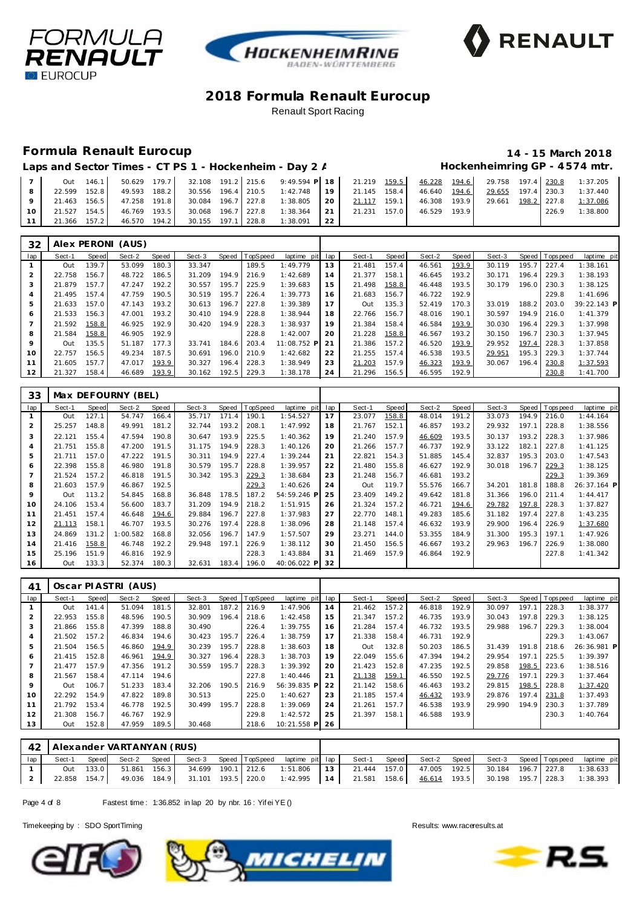![](_page_3_Picture_0.jpeg)

![](_page_3_Picture_1.jpeg)

![](_page_3_Picture_2.jpeg)

### **Formula Renault Eurocup 14 - 15 March 2018**

#### Laps and Sector Times - CT PS 1 - Hockenheim - Day 2 / **Hockenheimring GP** - 4574 mtr.

|        |  |  |  | Out 146.1 50.629 179.7 32.108 191.2 215.6 9:49.594 P 18 21.219 159.5 46.228 194.6 29.758 197.4 230.8 1:37.205    |  |  |  |       |          |
|--------|--|--|--|------------------------------------------------------------------------------------------------------------------|--|--|--|-------|----------|
|        |  |  |  | 22.599 152.8 49.593 188.2 30.556 196.4 210.5 1:42.748 19 21.145 158.4 46.640 194.6 29.655 197.4 230.3 1:37.440   |  |  |  |       |          |
|        |  |  |  | 9 21.463 156.5 47.258 191.8 30.084 196.7 227.8 1:38.805 20 21.117 159.1 46.308 193.9 29.661 198.2 227.8 1:37.086 |  |  |  |       |          |
| $10-1$ |  |  |  | 21.527 154.5 46.769 193.5 30.068 196.7 227.8 1:38.364 21 21.231 157.0 46.529 193.9                               |  |  |  | 226.9 | 1:38.800 |
|        |  |  |  | 11   21.366 157.2   46.570 194.2   30.155 197.1 228.8 1:38.091   22                                              |  |  |  |       |          |

| 32              |        |       | Alex PERONI (AUS) |       |        |       |                |             |     |        |       |        |       |        |       |                |             |
|-----------------|--------|-------|-------------------|-------|--------|-------|----------------|-------------|-----|--------|-------|--------|-------|--------|-------|----------------|-------------|
| lap             | Sect-1 | Speed | Sect-2            | Speed | Sect-3 |       | Speed TopSpeed | laptime pit | lap | Sect-1 | Speed | Sect-2 | Speed | Sect-3 |       | Speed Topspeed | laptime pit |
|                 | Out    | 139.7 | 53.099            | 180.3 | 33.347 |       | 189.5          | 1:49.779    | 13  | 21.481 | 157.4 | 46.561 | 193.9 | 30.119 | 195.7 | 227.4          | 1:38.161    |
| $\overline{2}$  | 22.758 | 156.7 | 48.722            | 186.5 | 31.209 | 194.9 | 216.9          | 1:42.689    | 14  | 21.377 | 158.1 | 46.645 | 193.2 | 30.171 | 196.4 | 229.3          | 1:38.193    |
| 3               | 21.879 | 157.7 | 47.247            | 192.2 | 30.557 | 195.7 | 225.9          | 1:39.683    | 15  | 21.498 | 158.8 | 46.448 | 193.5 | 30.179 | 196.0 | 230.3          | 1:38.125    |
| 4               | 21.495 | 157.4 | 47.759            | 190.5 | 30.519 | 195.7 | 226.4          | 1:39.773    | 16  | 21.683 | 156.7 | 46.722 | 192.9 |        |       | 229.8          | 1:41.696    |
| 5               | 21.633 | 157.0 | 47.143            | 193.2 | 30.613 | 196.7 | 227.8          | 1:39.389    | 17  | Out    | 135.3 | 52.419 | 170.3 | 33.019 | 188.2 | 203.0          | 39:22.143 P |
| 6               | 21.533 | 156.3 | 47.001            | 193.2 | 30.410 | 194.9 | 228.8          | 1:38.944    | 18  | 22.766 | 156.7 | 48.016 | 190.1 | 30.597 | 194.9 | 216.0          | 1:41.379    |
|                 | 21.592 | 158.8 | 46.925            | 192.9 | 30.420 | 194.9 | 228.3          | 1:38.937    | 19  | 21.384 | 158.4 | 46.584 | 193.9 | 30.030 | 196.4 | 229.3          | 1:37.998    |
| 8               | 21.584 | 158.8 | 46.905            | 192.9 |        |       | 228.8          | 1:42.007    | 20  | 21.228 | 158.8 | 46.567 | 193.2 | 30.150 | 196.7 | 230.3          | 1:37.945    |
| 9               | Out    | 135.5 | 51.187            | 177.3 | 33.741 | 184.6 | 203.4          | 11:08.752 P | 21  | 21.386 | 157.2 | 46.520 | 193.9 | 29.952 | 197.4 | 228.3          | 1:37.858    |
| 10 <sup>°</sup> | 22.757 | 156.5 | 49.234            | 187.5 | 30.691 | 196.0 | 210.9          | 1:42.682    | 22  | 21.255 | 157.4 | 46.538 | 193.5 | 29.951 | 195.3 | 229.3          | 1:37.744    |
| 11              | 21.605 | 157.7 | 47.017            | 193.9 | 30.327 | 196.4 | 228.3          | 1:38.949    | 23  | 21.203 | 157.9 | 46.323 | 193.9 | 30.067 | 196.4 | 230.8          | 1:37.593    |
| 12 <sup>°</sup> | 21.327 | 158.4 | 46.689            | 193.9 | 30.162 | 192.5 | 229.3          | 1:38.178    | 24  | 21.296 | 156.5 | 46.595 | 192.9 |        |       | 230.8          | 1:41.700    |

| 33             |        |       | Max DEFOURNY (BEL) |       |        |       |                |             |     |        |       |        |       |        |       |          |             |
|----------------|--------|-------|--------------------|-------|--------|-------|----------------|-------------|-----|--------|-------|--------|-------|--------|-------|----------|-------------|
| lap            | Sect-1 | Speed | Sect-2             | Speed | Sect-3 |       | Speed TopSpeed | laptime pit | lap | Sect-1 | Speed | Sect-2 | Speed | Sect-3 | Speed | Topspeed | laptime pit |
|                | Out    | 127.1 | 54.747             | 166.4 | 35.717 | 171.4 | 190.1          | 1:54.527    | 17  | 23.077 | 158.8 | 48.014 | 191.2 | 33.073 | 194.9 | 216.0    | 1:44.164    |
| $\overline{2}$ | 25.257 | 148.8 | 49.991             | 181.2 | 32.744 | 193.2 | 208.1          | 1:47.992    | 18  | 21.767 | 152.1 | 46.857 | 193.2 | 29.932 | 197.1 | 228.8    | 1:38.556    |
| 3              | 22.121 | 155.4 | 47.594             | 190.8 | 30.647 | 193.9 | 225.5          | 1:40.362    | 19  | 21.240 | 157.9 | 46.609 | 193.5 | 30.137 | 193.2 | 228.3    | 1:37.986    |
| 4              | 21.751 | 155.8 | 47.200             | 191.5 | 31.175 | 194.9 | 228.3          | 1:40.126    | 20  | 21.266 | 157.7 | 46.737 | 192.9 | 33.122 | 182.1 | 227.8    | 1:41.125    |
| 5              | 21.711 | 157.0 | 47.222             | 191.5 | 30.311 | 194.9 | 227.4          | 1:39.244    | 21  | 22.821 | 154.3 | 51.885 | 145.4 | 32.837 | 195.3 | 203.0    | 1:47.543    |
| 6              | 22.398 | 155.8 | 46.980             | 191.8 | 30.579 | 195.7 | 228.8          | 1:39.957    | 22  | 21.480 | 155.8 | 46.627 | 192.9 | 30.018 | 196.7 | 229.3    | 1:38.125    |
|                | 21.524 | 157.2 | 46.818             | 191.5 | 30.342 | 195.3 | 229.3          | 1:38.684    | 23  | 21.248 | 156.7 | 46.681 | 193.2 |        |       | 229.3    | 1:39.369    |
| 8              | 21.603 | 157.9 | 46.867             | 192.5 |        |       | 229.3          | 1:40.626    | 24  | Out    | 119.7 | 55.576 | 166.7 | 34.201 | 181.8 | 188.8    | 26:37.164 P |
| 9              | Out    | 113.2 | 54.845             | 168.8 | 36.848 | 178.5 | 187.2          | 54:59.246 P | 25  | 23.409 | 149.2 | 49.642 | 181.8 | 31.366 | 196.0 | 211.4    | 1:44.417    |
| 10             | 24.106 | 153.4 | 56.600             | 183.7 | 31.209 | 194.9 | 218.2          | 1:51.915    | 26  | 21.324 | 157.2 | 46.721 | 194.6 | 29.782 | 197.8 | 228.3    | 1:37.827    |
| 11             | 21.451 | 157.4 | 46.648             | 194.6 | 29.884 | 196.7 | 227.8          | 1:37.983    | 27  | 22.770 | 148.1 | 49.283 | 185.6 | 31.182 | 197.4 | 227.8    | 1:43.235    |
| 12             | 21.113 | 158.1 | 46.707             | 193.5 | 30.276 | 197.4 | 228.8          | 1:38.096    | 28  | 21.148 | 157.4 | 46.632 | 193.9 | 29.900 | 196.4 | 226.9    | 1:37.680    |
| 13             | 24.869 | 131.2 | 1:00.582           | 168.8 | 32.056 | 196.7 | 147.9          | 1:57.507    | 29  | 23.271 | 144.0 | 53.355 | 184.9 | 31.300 | 195.3 | 197.1    | 1:47.926    |
| 14             | 21.416 | 158.8 | 46.748             | 192.2 | 29.948 | 197.1 | 226.9          | 1:38.112    | 30  | 21.450 | 156.5 | 46.667 | 193.2 | 29.963 | 196.7 | 226.9    | 1:38.080    |
| 15             | 25.196 | 151.9 | 46.816             | 192.9 |        |       | 228.3          | 1:43.884    | 31  | 21.469 | 157.9 | 46.864 | 192.9 |        |       | 227.8    | 1:41.342    |
| 16             | Out    | 133.3 | 52.374             | 180.3 | 32.631 | 183.4 | 196.0          | 40:06.022 P | 32  |        |       |        |       |        |       |          |             |

| 41             |        |       | Oscar PIASTRI (AUS) |       |        |       |                |             |     |        |       |        |       |        |       |                  |             |
|----------------|--------|-------|---------------------|-------|--------|-------|----------------|-------------|-----|--------|-------|--------|-------|--------|-------|------------------|-------------|
| lap            | Sect-1 | Speed | Sect-2              | Speed | Sect-3 |       | Speed TopSpeed | laptime pit | lap | Sect-1 | Speed | Sect-2 | Speed | Sect-3 |       | Speed   Topspeed | laptime pit |
|                | Out    | 141.4 | 51.094              | 181.5 | 32.801 | 187.2 | 216.9          | 1:47.906    | 14  | 21.462 | 157.2 | 46.818 | 192.9 | 30.097 | 197.1 | 228.3            | 1:38.377    |
| 2              | 22.953 | 155.8 | 48.596              | 190.5 | 30.909 | 196.4 | 218.6          | 1:42.458    | 15  | 21.347 | 157.2 | 46.735 | 193.9 | 30.043 | 197.8 | 229.3            | 1:38.125    |
| 3              | 21.866 | 155.8 | 47.399              | 188.8 | 30.490 |       | 226.4          | 1:39.755    | 16  | 21.284 | 157.4 | 46.732 | 193.5 | 29.988 | 196.7 | 229.3            | 1:38.004    |
| 4              | 21.502 | 157.2 | 46.834              | 194.6 | 30.423 | 195.7 | 226.4          | 1:38.759    | 17  | 21.338 | 158.4 | 46.731 | 192.9 |        |       | 229.3            | 1:43.067    |
| 5              | 21.504 | 156.5 | 46.860              | 194.9 | 30.239 | 195.7 | 228.8          | 1:38.603    | 18  | Out    | 132.8 | 50.203 | 186.5 | 31.439 | 191.8 | 218.6            | 26:36.981 P |
| 6              | 21.415 | 152.8 | 46.961              | 194.9 | 30.327 | 196.4 | 228.3          | 1:38.703    | 19  | 22.049 | 155.6 | 47.394 | 194.2 | 29.954 | 197.1 | 225.5            | 1:39.397    |
| $\overline{7}$ | 21.477 | 157.9 | 47.356              | 191.2 | 30.559 | 195.7 | 228.3          | 1:39.392    | 20  | 21.423 | 152.8 | 47.235 | 192.5 | 29.858 | 198.5 | 223.6            | 1:38.516    |
| 8              | 21.567 | 158.4 | 47.114              | 194.6 |        |       | 227.8          | 1:40.446    | 21  | 21.138 | 159.1 | 46.550 | 192.5 | 29.776 | 197.1 | 229.3            | 1:37.464    |
| 9              | Out    | 106.7 | 51.233              | 183.4 | 32.206 | 190.5 | 216.9          | 56:39.835 P | 22  | 21.142 | 158.6 | 46.463 | 193.2 | 29.815 | 198.5 | 228.8            | 1:37.420    |
| 10             | 22.292 | 154.9 | 47.822              | 189.8 | 30.513 |       | 225.0          | 1:40.627    | 23  | 21.185 | 157.4 | 46.432 | 193.9 | 29.876 | 197.4 | 231.8            | 1:37.493    |
| 11             | 21.792 | 153.4 | 46.778              | 192.5 | 30.499 | 195.7 | 228.8          | 1:39.069    | 24  | 21.261 | 157.7 | 46.538 | 193.9 | 29.990 | 194.9 | 230.3            | 1:37.789    |
| 12             | 21.308 | 156.7 | 46.767              | 192.9 |        |       | 229.8          | 1:42.572    | 25  | 21.397 | 158.1 | 46.588 | 193.9 |        |       | 230.3            | 1:40.764    |
| 13             | Out    | 152.8 | 47.959              | 189.5 | 30.468 |       | 218.6          | 10:21.558 P | 26  |        |       |        |       |        |       |                  |             |

|     |              |       | 42 Alexander VARTANYAN (RUS) |  |  |                                                                                          |                                              |  |                                          |  |             |
|-----|--------------|-------|------------------------------|--|--|------------------------------------------------------------------------------------------|----------------------------------------------|--|------------------------------------------|--|-------------|
| lap | Sect-1       |       | Speed Sect-2 Speed           |  |  | Sect-3 Speed TopSpeed laptime pit lap                                                    | Sect-1                                       |  | Speed Sect-2 Speed Sect-3 Speed Topspeed |  | laptime pit |
|     | Out          | 133.0 | 51.861 156.3                 |  |  | 34.699 190.1 212.6 1:51.806 13                                                           | 21.444 157.0 47.005 192.5 30.184 196.7 227.8 |  |                                          |  | 1:38.633    |
|     | 22.858 154.7 |       |                              |  |  | 49.036 184.9 31.101 193.5 220.0 1:42.995 14 21.581 158.6 46.614 193.5 30.198 195.7 228.3 |                                              |  |                                          |  | 1:38.393    |

Page 4 of 8 Fastest time: 1:36.852 in lap 20 by nbr. 16: Yif ei YE ()

![](_page_3_Picture_14.jpeg)

![](_page_3_Picture_15.jpeg)

![](_page_3_Picture_17.jpeg)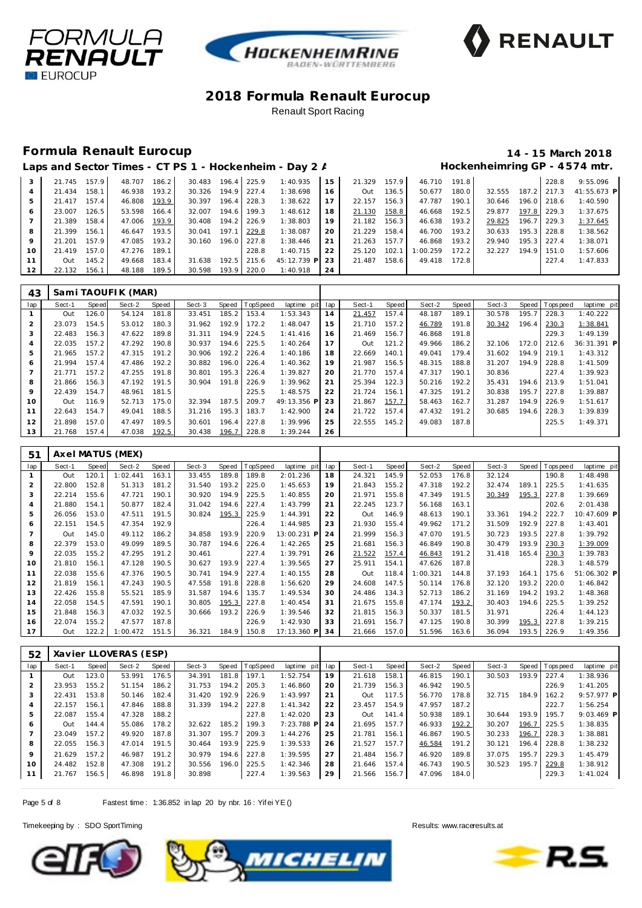![](_page_4_Picture_0.jpeg)

![](_page_4_Picture_1.jpeg)

![](_page_4_Picture_2.jpeg)

### **Formula Renault Eurocup 14 - 15 March 2018**

# Laps and Sector Times - CT PS 1 - Hockenheim - Day 2 / **Hockenheimring GP** - 4574 mtr.

|    | 21.745 157.9 |       | 48.707 | 186.2 | 30.483 | 196.4 | 225.9 | 1:40.935    | 15  | 21.329 | 157.9 | 46.710   | 191.8 L |        |       | 228.8           | 9:55.096      |
|----|--------------|-------|--------|-------|--------|-------|-------|-------------|-----|--------|-------|----------|---------|--------|-------|-----------------|---------------|
| 4  | 21.434       | 158.1 | 46.938 | 193.2 | 30.326 | 194.9 | 227.4 | 1:38.698    | 16  | Out    | 136.5 | 50.677   | 180.0   | 32.555 | 187.2 | 217.3           | $41:55.673$ P |
| .b | 21.417       | 157.4 | 46.808 | 193.9 | 30.397 | 196.4 | 228.3 | 1:38.622    |     | 22.157 | 156.3 | 47.787   | 190.1   | 30.646 |       | 196.0 218.6     | 1:40.590      |
| 6  | 23.007       | 126.5 | 53.598 | 166.4 | 32.007 | 194.6 | 199.3 | 1:48.612    | 18  | 21.130 | 158.8 | 46.668   | 192.5   | 29.877 |       | $197.8$   229.3 | 1:37.675      |
|    | 21.389       | 158.4 | 47.006 | 193.9 | 30.408 | 194.2 | 226.9 | 1:38.803    | 19  | 21.182 | 156.3 | 46.638   | 193.2   | 29.825 | 196.7 | 229.3           | 1:37.645      |
| 8  | 21.399       | 156.1 | 46.647 | 193.5 | 30.041 | 197.1 | 229.8 | 1:38.087    | 20  | 21.229 | 158.4 | 46.700   | 193.2   | 30.633 |       | 195.3 228.8     | 1:38.562      |
| 9  | 21.201       | 157.9 | 47.085 | 193.2 | 30.160 | 196.0 | 227.8 | 1:38.446    | 21  | 21.263 | 157.7 | 46.868   | 193.2   | 29.940 | 195.3 | 227.4           | 1:38.071      |
| 10 | 21.419       | 157.0 | 47.276 | 189.1 |        |       | 228.8 | 1:40.715    | 22  | 25.120 | 102.7 | 1:00.259 | 172.2   | 32.227 |       | 194.9   151.0   | 1:57.606      |
|    | Out          | 145.2 | 49.668 | 183.4 | 31.638 | 192.5 | 215.6 | 45:12.739 P | -23 | 21.487 | 158.6 | 49.418   | 172.8   |        |       | 227.4           | 1:47.833      |
| 12 | 22.132       | 156.1 | 48.188 | 189.5 | 30.598 | 193.9 | 220.0 | 1:40.918    | 24  |        |       |          |         |        |       |                 |               |
|    |              |       |        |       |        |       |       |             |     |        |       |          |         |        |       |                 |               |

| 43  |        |       | Sami TAOUFIK (MAR) |       |        |       |          |             |     |        |         |        |       |        |       |                |             |
|-----|--------|-------|--------------------|-------|--------|-------|----------|-------------|-----|--------|---------|--------|-------|--------|-------|----------------|-------------|
| lap | Sect-1 | Speed | Sect-2             | Speed | Sect-3 | Speed | TopSpeed | laptime pit | lap | Sect-1 | Speed I | Sect-2 | Speed | Sect-3 |       | Speed Topspeed | laptime pit |
|     | Out    | 126.0 | 54.124             | 181.8 | 33.451 | 185.2 | 153.4    | 1:53.343    | 14  | 21.457 | 157.4   | 48.187 | 189.1 | 30.578 | 195.7 | 228.3          | 1:40.222    |
|     | 23.073 | 154.5 | 53.012             | 180.3 | 31.962 | 192.9 | 172.2    | 1:48.047    | 15  | 21.710 | 157.2   | 46.789 | 191.8 | 30.342 | 196.4 | 230.3          | 1:38.841    |
| 3   | 22.483 | 156.3 | 47.622             | 189.8 | 31.311 | 194.9 | 224.5    | 1:41.416    | 16  | 21.469 | 156.7   | 46.868 | 191.8 |        |       | 229.3          | 1:49.139    |
| 4   | 22.035 | 157.2 | 47.292             | 190.8 | 30.937 | 194.6 | 225.5    | 1:40.264    | 17  | Out    | 121.2   | 49.966 | 186.2 | 32.106 | 172.0 | 212.6          | 36:31.391 P |
| 5   | 21.965 | 157.2 | 47.315             | 191.2 | 30.906 | 192.2 | 226.4    | 1:40.186    | 18  | 22.669 | 140.1   | 49.041 | 179.4 | 31.602 | 194.9 | 219.1          | 1:43.312    |
| 6   | 21.994 | 157.4 | 47.486             | 192.2 | 30.882 | 196.0 | 226.4    | 1:40.362    | 19  | 21.987 | 156.5   | 48.315 | 188.8 | 31.207 | 194.9 | 228.8          | 1:41.509    |
|     | 21.771 | 157.2 | 47.255             | 191.8 | 30.801 | 195.3 | 226.4    | 1:39.827    | 20  | 21.770 | 157.4   | 47.317 | 190.1 | 30.836 |       | 227.4          | 1:39.923    |
| 8   | 21.866 | 156.3 | 47.192             | 191.5 | 30.904 | 191.8 | 226.9    | 1:39.962    | 21  | 25.394 | 122.3   | 50.216 | 192.2 | 35.431 | 194.6 | 213.9          | 1:51.041    |
| 9   | 22.439 | 154.7 | 48.961             | 181.5 |        |       | 225.5    | 1:48.575    | 22  | 21.724 | 156.1   | 47.325 | 191.2 | 30.838 | 195.7 | 227.8          | 1:39.887    |
| 10  | Out    | 116.9 | 52.713             | 175.0 | 32.394 | 187.5 | 209.7    | 49:13.356 P | 23  | 21.867 | 157.7   | 58.463 | 162.7 | 31.287 | 194.9 | 226.9          | 1:51.617    |
| 11  | 22.643 | 154.7 | 49.041             | 188.5 | 31.216 | 195.3 | 183.7    | 1:42.900    | 24  | 21.722 | 157.4   | 47.432 | 191.2 | 30.685 | 194.6 | 228.3          | 1:39.839    |
| 12  | 21.898 | 157.0 | 47.497             | 189.5 | 30.601 | 196.4 | 227.8    | 1:39.996    | 25  | 22.555 | 145.2   | 49.083 | 187.8 |        |       | 225.5          | 1:49.371    |
| 13  | 21.768 | 157.4 | 47.038             | 192.5 | 30.438 | 196.7 | 228.8    | 1:39.244    | 26  |        |         |        |       |        |       |                |             |

| 51  |        |       | Axel MATUS (MEX) |       |        |       |                 |             |     |              |       |          |       |        |       |            |             |
|-----|--------|-------|------------------|-------|--------|-------|-----------------|-------------|-----|--------------|-------|----------|-------|--------|-------|------------|-------------|
| lap | Sect-1 | Speed | Sect-2           | Speed | Sect-3 | Speed | <b>TopSpeed</b> | laptime pit | lap | Sect-1       | Speed | Sect-2   | Speed | Sect-3 | Speed | T ops peed | laptime pit |
|     | Out    | 120.1 | 1:02.441         | 163.1 | 33.455 | 189.8 | 189.8           | 2:01.236    | 18  | 24.321       | 145.9 | 52.053   | 176.8 | 32.124 |       | 190.8      | 1:48.498    |
| 2   | 22.800 | 152.8 | 51.313           | 181.2 | 31.540 | 193.2 | 225.0           | 1:45.653    | 19  | 21.843       | 155.2 | 47.318   | 192.2 | 32.474 | 189.1 | 225.5      | 1:41.635    |
| 3   | 22.214 | 155.6 | 47.721           | 190.1 | 30.920 | 194.9 | 225.5           | 1:40.855    | 20  | 21.971       | 155.8 | 47.349   | 191.5 | 30.349 | 195.3 | 227.8      | 1:39.669    |
| 4   | 21.880 | 154.1 | 50.877           | 182.4 | 31.042 | 194.6 | 227.4           | 1:43.799    | 21  | 22.245       | 123.7 | 56.168   | 163.1 |        |       | 202.6      | 2:01.438    |
| 5   | 26.056 | 153.0 | 47.511           | 191.5 | 30.824 | 195.3 | 225.9           | 1:44.391    | 22  | Out          | 146.9 | 48.613   | 190.1 | 33.361 | 194.2 | 222.7      | 10:47.609 P |
| 6   | 22.151 | 154.5 | 47.354           | 192.9 |        |       | 226.4           | 1:44.985    | 23  | 21.930       | 155.4 | 49.962   | 171.2 | 31.509 | 192.9 | 227.8      | 1:43.401    |
|     | Out    | 145.0 | 49.112           | 186.2 | 34.858 | 193.9 | 220.9           | 13:00.231 P | 24  | 21.999       | 156.3 | 47.070   | 191.5 | 30.723 | 193.5 | 227.8      | 1:39.792    |
| 8   | 22.379 | 153.0 | 49.099           | 189.5 | 30.787 | 194.6 | 226.4           | 1:42.265    | 25  | 21.681       | 156.3 | 46.849   | 190.8 | 30.479 | 193.9 | 230.3      | 1:39.009    |
| 9   | 22.035 | 155.2 | 47.295           | 191.2 | 30.461 |       | 227.4           | 1:39.791    | 26  | 21.522       | 157.4 | 46.843   | 191.2 | 31.418 | 165.4 | 230.3      | 1:39.783    |
| 10  | 21.810 | 156.1 | 47.128           | 190.5 | 30.627 | 193.9 | 227.4           | 1:39.565    | 27  | 25.911       | 154.1 | 47.626   | 187.8 |        |       | 228.3      | 1:48.579    |
| 11  | 22.038 | 155.6 | 47.376           | 190.5 | 30.741 | 194.9 | 227.4           | 1:40.155    | 28  | Out          | 118.4 | 1:00.321 | 144.8 | 37.193 | 164.1 | 175.6      | 51:06.302 P |
| 12  | 21.819 | 156.1 | 47.243           | 190.5 | 47.558 | 191.8 | 228.8           | 1:56.620    | 29  | 24.608       | 147.5 | 50.114   | 176.8 | 32.120 | 193.2 | 220.0      | 1:46.842    |
| 13  | 22.426 | 155.8 | 55.521           | 185.9 | 31.587 | 194.6 | 135.7           | 1:49.534    | 30  | 24.486       | 134.3 | 52.713   | 186.2 | 31.169 | 194.2 | 193.2      | 1:48.368    |
| 14  | 22.058 | 154.5 | 47.591           | 190.1 | 30.805 | 195.3 | 227.8           | 1:40.454    | 31  | 21.675       | 155.8 | 47.174   | 193.2 | 30.403 | 194.6 | 225.5      | 1:39.252    |
| 15  | 21.848 | 156.3 | 47.032           | 192.5 | 30.666 | 193.2 | 226.9           | 1:39.546    | 32  | 21.815       | 156.3 | 50.337   | 181.5 | 31.971 |       | 226.4      | 1:44.123    |
| 16  | 22.074 | 155.2 | 47.577           | 187.8 |        |       | 226.9           | 1:42.930    | 33  | 21.691       | 156.7 | 47.125   | 190.8 | 30.399 | 195.3 | 227.8      | 1:39.215    |
| 17  | Out    | 122.2 | 1:00.472         | 151.5 | 36.321 | 184.9 | 150.8           | 17:13.360 P | 34  | 21.666 157.0 |       | 51.596   | 163.6 | 36.094 | 193.5 | 226.9      | 1:49.356    |

| 52              |        |       | Xavier LLOVERAS (ESP) |       |        |       |                |             |     |        |       |        |       |        |       |                   |              |
|-----------------|--------|-------|-----------------------|-------|--------|-------|----------------|-------------|-----|--------|-------|--------|-------|--------|-------|-------------------|--------------|
| lap             | Sect-1 | Speed | Sect-2                | Speed | Sect-3 |       | Speed TopSpeed | laptime pit | lap | Sect-1 | Speed | Sect-2 | Speed | Sect-3 | Speed | <b>T</b> ops peed | laptime pit  |
|                 | Out    | 123.0 | 53.991                | 176.5 | 34.391 | 181.8 | 197.1          | 1:52.754    | 19  | 21.618 | 158.1 | 46.815 | 190.1 | 30.503 | 193.9 | 227.4             | 1:38.936     |
|                 | 23.953 | 155.2 | 51.154                | 186.2 | 31.753 | 194.2 | 205.3          | 1:46.860    | 20  | 21.739 | 156.3 | 46.942 | 190.5 |        |       | 226.9             | 1:41.205     |
| 3               | 22.431 | 153.8 | 50.146                | 182.4 | 31.420 | 192.9 | 226.9          | 1:43.997    | 21  | Out    | 117.5 | 56.770 | 178.8 | 32.715 | 184.9 | 162.2             | 9:57.977 PI  |
| 4               | 22.157 | 156.1 | 47.846                | 188.8 | 31.339 | 194.2 | 227.8          | 1:41.342    | 22  | 23.457 | 154.9 | 47.957 | 187.2 |        |       | 222.7             | 1:56.254     |
| 5               | 22.087 | 155.4 | 47.328                | 188.2 |        |       | 227.8          | 1:42.020    | 23  | Out    | 141.4 | 50.938 | 189.1 | 30.644 | 193.9 | 195.7             | $9:03.469$ P |
| 6               | Out    | 144.4 | 55.086                | 178.2 | 32.622 | 185.2 | 199.3          | 7:23.788 P  | 24  | 21.695 | 157.7 | 46.933 | 192.2 | 30.207 | 196.7 | 225.5             | 1:38.835     |
|                 | 23.049 | 157.2 | 49.920                | 187.8 | 31.307 | 195.7 | 209.3          | 1:44.276    | 25  | 21.781 | 156.1 | 46.867 | 190.5 | 30.233 | 196.7 | 228.3             | 1:38.881     |
| 8               | 22.055 | 156.3 | 47.014                | 191.5 | 30.464 | 193.9 | 225.9          | 1:39.533    | 26  | 21.527 | 157.7 | 46.584 | 191.2 | 30.121 | 196.4 | 228.8             | 1:38.232     |
| 9               | 21.629 | 157.2 | 46.987                | 191.2 | 30.979 | 194.6 | 227.8          | 1:39.595    | 27  | 21.484 | 156.7 | 46.920 | 189.8 | 37.075 | 195.7 | 229.3             | 1:45.479     |
| 10 <sup>°</sup> | 24.482 | 152.8 | 47.308                | 191.2 | 30.556 | 196.0 | 225.5          | 1:42.346    | 28  | 21.646 | 157.4 | 46.743 | 190.5 | 30.523 | 195.7 | 229.8             | 1:38.912     |
|                 | 21.767 | 156.5 | 46.898                | 191.8 | 30.898 |       | 227.4          | 1:39.563    | 29  | 21.566 | 156.7 | 47.096 | 184.0 |        |       | 229.3             | 1:41.024     |

Page 5 of 8 Fastest time: 1:36.852 in lap 20 by nbr. 16: Yif ei YE ()

![](_page_4_Picture_13.jpeg)

![](_page_4_Picture_14.jpeg)

![](_page_4_Picture_16.jpeg)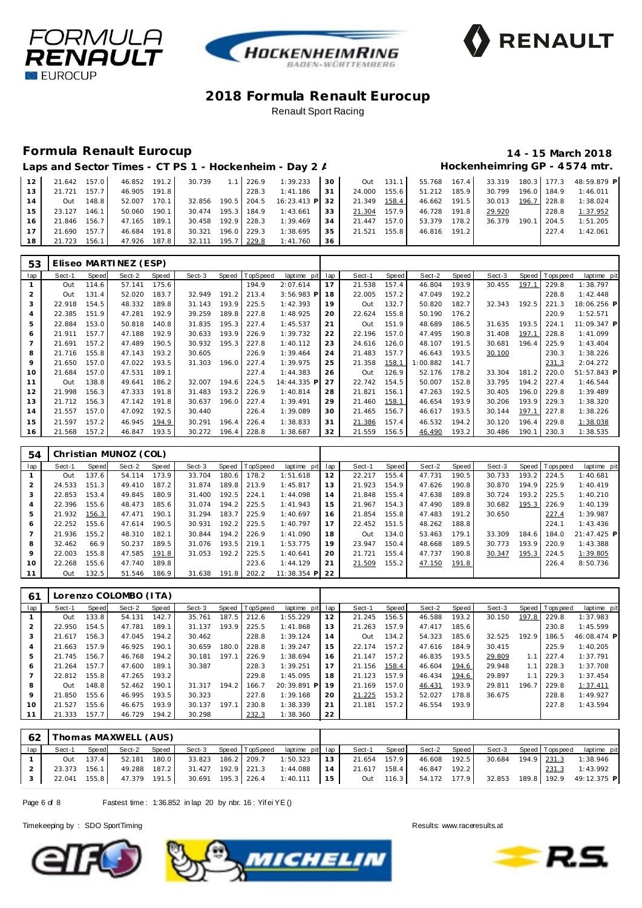![](_page_5_Picture_0.jpeg)

![](_page_5_Picture_1.jpeg)

![](_page_5_Picture_2.jpeg)

## **Formula Renault Eurocup 14 - 15 March 2018**

# Laps and Sector Times - CT PS 1 - Hockenheim - Day 2 / **Hockenheimring GP** - 4574 mtr.

| 112             |              |           |              |                    |  |                                                             |  |              |        |       | 21.642 157.0 46.852 191.2 30.739 1.1 226.9 1:39.233 30 0ut 131.1 55.768 167.4 33.319 180.3 177.3 48:59.879 P |
|-----------------|--------------|-----------|--------------|--------------------|--|-------------------------------------------------------------|--|--------------|--------|-------|--------------------------------------------------------------------------------------------------------------|
| 13              | 21.721 157.7 |           |              | 46.905 191.8       |  | $228.3$ 1:41.186 31 24.000 155.6                            |  | 51.212 185.9 |        |       | 30.799 196.0 184.9 1:46.011                                                                                  |
| 14              |              | Out 148.8 |              |                    |  | 52.007 170.1 32.856 190.5 204.5 16:23.413 P 32 21.349 158.4 |  | 46.662 191.5 |        |       | 30.013 196.7 228.8 1:38.024                                                                                  |
| 15              | 23.127 146.1 |           | 50.060 190.1 |                    |  | 30.474 195.3 184.9 1:43.661 33 21.304 157.9                 |  | 46.728 191.8 | 29.920 | 228.8 | 1:37.952                                                                                                     |
| 16 <sup>1</sup> | 21.846 156.7 |           | 47.165 189.1 |                    |  | 30.458 192.9 228.3 1:39.469 34 21.447 157.0                 |  | 53.379 178.2 |        |       | 36.379 190.1 204.5 1:51.205                                                                                  |
| $-17$           | 21.690 157.7 |           | 46.684 191.8 | 30.321 196.0 229.3 |  | 1:38.695 35 21.521 155.8                                    |  | 46.816 191.2 |        |       | 227.4 1:42.061                                                                                               |
| 18              |              |           |              |                    |  | 21.723 156.1 47.926 187.8 32.111 195.7 229.8 1:41.760 36    |  |              |        |       |                                                                                                              |

| 53             |        |       | Eliseo MARTINEZ (ESP) |       |        |       |          |              |     |        |       |          |       |        |       |           |             |
|----------------|--------|-------|-----------------------|-------|--------|-------|----------|--------------|-----|--------|-------|----------|-------|--------|-------|-----------|-------------|
| lap            | Sect-1 | Speed | Sect-2                | Speed | Sect-3 | Speed | TopSpeed | laptime pit  | lap | Sect-1 | Speed | Sect-2   | Speed | Sect-3 | Speed | Tops peed | laptime pit |
|                | Out    | 114.6 | 57.141                | 175.6 |        |       | 194.9    | 2:07.614     | 17  | 21.538 | 157.4 | 46.804   | 193.9 | 30.455 | 197.1 | 229.8     | 1:38.797    |
| 2              | Out    | 131.4 | 52.020                | 183.7 | 32.949 | 191.2 | 213.4    | $3:56.983$ P | 18  | 22.005 | 157.2 | 47.049   | 192.2 |        |       | 228.8     | 1:42.448    |
| 3              | 22.918 | 154.5 | 48.332                | 189.8 | 31.143 | 193.9 | 225.5    | 1:42.393     | 19  | Out    | 132.7 | 50.820   | 182.7 | 32.343 | 192.5 | 221.3     | 18:06.256 P |
| 4              | 22.385 | 151.9 | 47.281                | 192.9 | 39.259 | 189.8 | 227.8    | 1:48.925     | 20  | 22.624 | 155.8 | 50.190   | 176.2 |        |       | 220.9     | 1:52.571    |
| 5              | 22.884 | 153.0 | 50.818                | 140.8 | 31.835 | 195.3 | 227.4    | 1:45.537     | 21  | Out    | 151.9 | 48.689   | 186.5 | 31.635 | 193.5 | 224.1     | 11:09.347 P |
| 6              | 21.911 | 157.7 | 47.188                | 192.9 | 30.633 | 193.9 | 226.9    | 1:39.732     | 22  | 22.196 | 157.0 | 47.495   | 190.8 | 31.408 | 197.1 | 228.8     | 1:41.099    |
| $\overline{7}$ | 21.691 | 157.2 | 47.489                | 190.5 | 30.932 | 195.3 | 227.8    | 1:40.112     | 23  | 24.616 | 126.0 | 48.107   | 191.5 | 30.681 | 196.4 | 225.9     | 1:43.404    |
| 8              | 21.716 | 155.8 | 47.143                | 193.2 | 30.605 |       | 226.9    | 1:39.464     | 24  | 21.483 | 157.7 | 46.643   | 193.5 | 30.100 |       | 230.3     | 1:38.226    |
| 9              | 21.650 | 157.0 | 47.022                | 193.5 | 31.303 | 196.0 | 227.4    | 1:39.975     | 25  | 21.358 | 158.1 | 1:00.882 | 141.7 |        |       | 231.3     | 2:04.272    |
| 10             | 21.684 | 157.0 | 47.531                | 189.1 |        |       | 227.4    | 1:44.383     | 26  | Out    | 126.9 | 52.176   | 178.2 | 33.304 | 181.2 | 220.0     | 51:57.843 P |
| 11             | Out    | 138.8 | 49.641                | 186.2 | 32.007 | 194.6 | 224.5    | 14:44.335 P  | 27  | 22.742 | 154.5 | 50.007   | 152.8 | 33.795 | 194.2 | 227.4     | 1:46.544    |
| 12             | 21.998 | 156.3 | 47.333                | 191.8 | 31.483 | 193.2 | 226.9    | 1:40.814     | 28  | 21.821 | 156.1 | 47.263   | 192.5 | 30.405 | 196.0 | 229.8     | 1:39.489    |
| 13             | 21.712 | 156.3 | 47.142                | 191.8 | 30.637 | 196.0 | 227.4    | 1:39.491     | 29  | 21.460 | 158.1 | 46.654   | 193.9 | 30.206 | 193.9 | 229.3     | 1:38.320    |
| 14             | 21.557 | 157.0 | 47.092                | 192.5 | 30.440 |       | 226.4    | 1:39.089     | 30  | 21.465 | 156.7 | 46.617   | 193.5 | 30.144 | 197.1 | 227.8     | 1:38.226    |
| 15             | 21.597 | 157.2 | 46.945                | 194.9 | 30.291 | 196.4 | 226.4    | 1:38.833     | 31  | 21.386 | 157.4 | 46.532   | 194.2 | 30.120 | 196.4 | 229.8     | 1:38.038    |
| 16             | 21.568 | 157.2 | 46.847                | 193.5 | 30.272 | 196.4 | 228.8    | 1:38.687     | 32  | 21.559 | 156.5 | 46.490   | 193.2 | 30.486 | 190.1 | 230.3     | 1:38.535    |

| 54  |        |       | Christian MUNOZ (COL) |       |        |       |                |                  |    |        |       |        |       |        |       |                 |             |
|-----|--------|-------|-----------------------|-------|--------|-------|----------------|------------------|----|--------|-------|--------|-------|--------|-------|-----------------|-------------|
| lap | Sect-1 | Speed | Sect-2                | Speed | Sect-3 |       | Speed TopSpeed | laptime pit lap  |    | Sect-1 | Speed | Sect-2 | Speed | Sect-3 |       | Speed Tops peed | laptime pit |
|     | Out    | 137.6 | 54.114                | 173.9 | 33.704 | 180.6 | 178.2          | 1:51.618         | 12 | 22.217 | 155.4 | 47.731 | 190.5 | 30.733 | 193.2 | 224.5           | 1:40.681    |
|     | 24.533 | 151.3 | 49.410                | 187.2 | 31.874 |       | 189.8 213.9    | 1:45.817         | 13 | 21.923 | 154.9 | 47.626 | 190.8 | 30.870 | 194.9 | 225.9           | 1:40.419    |
| 3   | 22.853 | 153.4 | 49.845                | 180.9 | 31.400 | 192.5 | 224.1          | 1:44.098         | 14 | 21.848 | 155.4 | 47.638 | 189.8 | 30.724 | 193.2 | 225.5           | 1:40.210    |
| 4   | 22.396 | 155.6 | 48.473                | 185.6 | 31.074 |       | 194.2 225.5    | 1:41.943         | 15 | 21.967 | 154.3 | 47.490 | 189.8 | 30.682 | 195.3 | 226.9           | 1:40.139    |
| 5   | 21.932 | 156.3 | 47.471                | 190.1 | 31.294 |       | 183.7 225.9    | 1:40.697         | 16 | 21.854 | 155.8 | 47.483 | 191.2 | 30.650 |       | 227.4           | 1:39.987    |
| 6   | 22.252 | 155.6 | 47.614                | 190.5 | 30.931 |       | 192.2 225.5    | 1:40.797         | 17 | 22.452 | 151.5 | 48.262 | 188.8 |        |       | 224.1           | 1:43.436    |
|     | 21.936 | 155.2 | 48.310                | 182.1 | 30.844 |       | 194.2 226.9    | 1:41.090         | 18 | Out    | 134.0 | 53.463 | 179.1 | 33.309 | 184.6 | 184.0           | 21:47.425 P |
| 8   | 32.462 | 66.9  | 50.237                | 189.5 | 31.076 |       | 193.5 219.1    | 1:53.775         | 19 | 23.947 | 150.4 | 48.668 | 189.5 | 30.773 | 193.9 | 220.9           | 1:43.388    |
| 9   | 22.003 | 155.8 | 47.585 191.8          |       | 31.053 | 192.2 | 225.5          | 1:40.641         | 20 | 21.721 | 155.4 | 47.737 | 190.8 | 30.347 | 195.3 | 224.5           | 1:39.805    |
| 10  | 22.268 | 155.6 | 47.740                | 189.8 |        |       | 223.6          | 1:44.129         | 21 | 21.509 | 155.2 | 47.150 | 191.8 |        |       | 226.4           | 8:50.736    |
| 11  | Out    | 132.5 | 51.546                | 186.9 | 31.638 |       | 191.8 202.2    | $11:38.354$ P 22 |    |        |       |        |       |        |       |                 |             |

| 61             |        |       | Lorenzo COLOMBO (ITA) |       |        |       |          |                 |    |        |       |        |       |        |       |                |             |
|----------------|--------|-------|-----------------------|-------|--------|-------|----------|-----------------|----|--------|-------|--------|-------|--------|-------|----------------|-------------|
| lap            | Sect-1 | Speed | Sect-2                | Speed | Sect-3 | Speed | TopSpeed | laptime pit lap |    | Sect-1 | Speed | Sect-2 | Speed | Sect-3 |       | Speed Topspeed | laptime pit |
|                | Out    | 133.8 | 54.131                | 142.7 | 35.761 | 187.5 | 212.6    | 1:55.229        | 12 | 21.245 | 156.5 | 46.588 | 193.2 | 30.150 | 197.8 | 229.8          | 1:37.983    |
| 2              | 22.950 | 154.5 | 47.781                | 189.1 | 31.137 | 193.9 | 225.5    | 1:41.868        | 13 | 21.263 | 157.9 | 47.417 | 185.6 |        |       | 230.8          | 1:45.599    |
| 3              | 21.617 | 156.3 | 47.045                | 194.2 | 30.462 |       | 228.8    | 1:39.124        | 14 | Out    | 134.2 | 54.323 | 185.6 | 32.525 | 192.9 | 186.5          | 46:08.474 P |
| $\overline{4}$ | 21.663 | 157.9 | 46.925                | 190.1 | 30.659 | 180.0 | 228.8    | 1:39.247        | 15 | 22.174 | 157.2 | 47.616 | 184.9 | 30.415 |       | 225.9          | 1:40.205    |
| 5              | 21.745 | 156.7 | 46.768                | 194.2 | 30.181 | 197.1 | 226.9    | 1:38.694        | 16 | 21.147 | 157.2 | 46.835 | 193.5 | 29.809 | 1.1   | 227.4          | 1:37.791    |
| 6              | 21.264 | 157.7 | 47.600                | 189.1 | 30.387 |       | 228.3    | 1:39.251        | 17 | 21.156 | 158.4 | 46.604 | 194.6 | 29.948 | 1.1   | 228.3          | 1:37.708    |
| 7              | 22.812 | 155.8 | 47.265                | 193.2 |        |       | 229.8    | 1:45.095        | 18 | 21.123 | 157.9 | 46.434 | 194.6 | 29.897 |       | 229.3          | 1:37.454    |
| 8              | Out    | 148.8 | 52.462                | 190.1 | 31.317 | 194.2 | 166.7    | 20:39.891 P     | 19 | 21.169 | 157.0 | 46.431 | 193.9 | 29.811 | 196.7 | 229.8          | 1:37.411    |
| 9              | 21.850 | 155.6 | 46.995                | 193.5 | 30.323 |       | 227.8    | 1:39.168        | 20 | 21.225 | 153.2 | 52.027 | 178.8 | 36.675 |       | 228.8          | 1:49.927    |
| 10             | 21.527 | 155.6 | 46.675                | 193.9 | 30.137 | 197.1 | 230.8    | 1:38.339        | 21 | 21.181 | 157.2 | 46.554 | 193.9 |        |       | 227.8          | 1:43.594    |
| 11             | 21.333 | 157.7 | 46.729                | 194.2 | 30.298 |       | 232.3    | 1:38.360        | 22 |        |       |        |       |        |       |                |             |

|     |        |       | 62   Thomas MAXWELL (AUS) |  |  |                                                                                                             |  |  |  |       |                                                                                                                |
|-----|--------|-------|---------------------------|--|--|-------------------------------------------------------------------------------------------------------------|--|--|--|-------|----------------------------------------------------------------------------------------------------------------|
| Iap | Sect-1 | Speed | Sect-2 Speed              |  |  | Sect-3 Speed TopSpeed laptime pit lap Sect-1                                                                |  |  |  |       | Speed Sect-2 Speed Sect-3 Speed Topspeed laptime pit                                                           |
|     |        |       |                           |  |  | 0ut 137.4 52.181 180.0 33.823 186.2 209.7 1:50.323 13 21.654 157.9 46.608 192.5 30.684 194.9 231.3 1:38.946 |  |  |  |       |                                                                                                                |
|     |        |       |                           |  |  | 23.373 156.1 49.288 187.2 31.427 192.9 221.3 1:44.088 14 21.617 158.4 46.847 192.2                          |  |  |  | 231.3 | 1:43.992                                                                                                       |
|     |        |       |                           |  |  |                                                                                                             |  |  |  |       | 22.041 155.8 47.379 191.5 30.691 195.3 226.4 1:40.111 15 0ut 116.3 54.172 177.9 32.853 189.8 192.9 49:12.375 P |

Page 6 of 8 Fastest time: 1:36.852 in lap 20 by nbr. 16: Yif ei YE ()

![](_page_5_Picture_13.jpeg)

![](_page_5_Picture_14.jpeg)

![](_page_5_Picture_16.jpeg)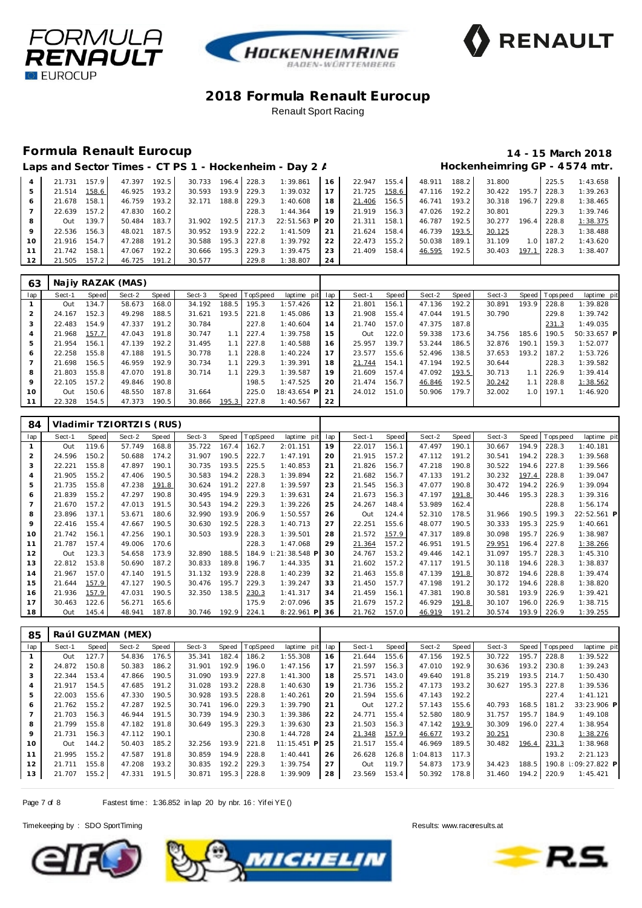![](_page_6_Picture_0.jpeg)

![](_page_6_Picture_1.jpeg)

![](_page_6_Picture_2.jpeg)

### **Formula Renault Eurocup 14 - 15 March 2018**

|                |        |       |        |       |        |       |       | Laps and Sector Times - CT PS 1 - Hockenheim - Day 2 / |    |        |       |        |       |        |                  |       | Hockenheimring GP - 4574 mtr. |
|----------------|--------|-------|--------|-------|--------|-------|-------|--------------------------------------------------------|----|--------|-------|--------|-------|--------|------------------|-------|-------------------------------|
| $\overline{4}$ | 21.731 | 157.9 | 47.397 | 192.5 | 30.733 | 196.4 | 228.3 | 1:39.861                                               | 16 | 22.947 | 155.4 | 48.911 | 188.2 | 31.800 |                  | 225.5 | 1:43.658                      |
| 5              | 21.514 | 158.6 | 46.925 | 193.2 | 30.593 | 193.9 | 229.3 | 1:39.032                                               | 17 | 21.725 | 158.6 | 47.116 | 192.2 | 30.422 | 195.7            | 228.3 | 1:39.263                      |
| 6              | 21.678 | 158.1 | 46.759 | 193.2 | 32.171 | 188.8 | 229.3 | 1:40.608                                               | 18 | 21.406 | 156.5 | 46.741 | 193.2 | 30.318 | 196.7            | 229.8 | 1:38.465                      |
|                | 22.639 | 157.2 | 47.830 | 160.2 |        |       | 228.3 | 1:44.364                                               | 19 | 21.919 | 156.3 | 47.026 | 192.2 | 30.801 |                  | 229.3 | 1:39.746                      |
| 8              | Out    | 139.7 | 50.484 | 183.7 | 31.902 | 192.5 | 217.3 | 22:51.563 P                                            | 20 | 21.311 | 158.1 | 46.787 | 192.5 | 30.277 | 196.4            | 228.8 | 1:38.375                      |
| 9              | 22.536 | 156.3 | 48.021 | 187.5 | 30.952 | 193.9 | 222.2 | 1:41.509                                               | 21 | 21.624 | 158.4 | 46.739 | 193.5 | 30.125 |                  | 228.3 | 1:38.488                      |
| 10             | 21.916 | 154.7 | 47.288 | 191.2 | 30.588 | 195.3 | 227.8 | 1:39.792                                               | 22 | 22.473 | 155.2 | 50.038 | 189.1 | 31.109 | 1.0 <sub>1</sub> | 187.2 | 1:43.620                      |
| 11             | 21.742 | 158.1 | 47.067 | 192.2 | 30.666 | 195.3 | 229.3 | 1:39.475                                               | 23 | 21.409 | 158.4 | 46.595 | 192.5 | 30.403 | 197.1            | 228.3 | 1:38.407                      |
| 12             | 21.505 | 157.2 | 46.725 | 191.2 | 30.577 |       | 229.8 | 1:38.807                                               | 24 |        |       |        |       |        |                  |       |                               |

| 63              |        |       | Najiy RAZAK (MAS) |       |        |       |          |                 |    |        |       |        |       |        |       |                 |             |
|-----------------|--------|-------|-------------------|-------|--------|-------|----------|-----------------|----|--------|-------|--------|-------|--------|-------|-----------------|-------------|
| lap             | Sect-1 | Speed | Sect-2            | Speed | Sect-3 | Speed | TopSpeed | laptime pit lap |    | Sect-1 | Speed | Sect-2 | Speed | Sect-3 |       | Speed Tops peed | laptime pit |
|                 | Out    | 134.7 | 58.673            | 168.0 | 34.192 | 188.5 | 195.3    | 1:57.426        | 12 | 21.801 | 156.1 | 47.136 | 192.2 | 30.891 | 193.9 | 228.8           | 1:39.828    |
|                 | 24.167 | 152.3 | 49.298            | 188.5 | 31.621 | 193.5 | 221.8    | 1:45.086        | 13 | 21.908 | 155.4 | 47.044 | 191.5 | 30.790 |       | 229.8           | 1:39.742    |
| 3               | 22.483 | 154.9 | 47.337            | 191.2 | 30.784 |       | 227.8    | 1:40.604        | 14 | 21.740 | 157.0 | 47.375 | 187.8 |        |       | 231.3           | 1:49.035    |
| 4               | 21.968 | 157.7 | 47.043            | 191.8 | 30.747 | 1.1   | 227.4    | 1:39.758        | 15 | Out    | 122.0 | 59.338 | 173.6 | 34.756 | 185.6 | 190.5           | 50:33.657 P |
| 5               | 21.954 | 156.1 | 47.139            | 192.2 | 31.495 | 1.1   | 227.8    | 1:40.588        | 16 | 25.957 | 139.7 | 53.244 | 186.5 | 32.876 | 190.1 | 159.3           | 1:52.077    |
| 6               | 22.258 | 155.8 | 47.188            | 191.5 | 30.778 | 1.1   | 228.8    | 1:40.224        | 17 | 23.577 | 155.6 | 52.496 | 138.5 | 37.653 | 193.2 | 187.2           | 1:53.726    |
|                 | 21.698 | 156.5 | 46.959            | 192.9 | 30.734 | 1.1   | 229.3    | 1:39.391        | 18 | 21.744 | 154.1 | 47.194 | 192.5 | 30.644 |       | 228.3           | 1:39.582    |
| 8               | 21.803 | 155.8 | 47.070            | 191.8 | 30.714 | 1.1   | 229.3    | 1:39.587        | 19 | 21.609 | 157.4 | 47.092 | 193.5 | 30.713 | 1.1   | 226.9           | 1:39.414    |
| 9               | 22.105 | 157.2 | 49.846            | 190.8 |        |       | 198.5    | 1:47.525        | 20 | 21.474 | 156.7 | 46.846 | 192.5 | 30.242 | 1.11  | 228.8           | 1:38.562    |
| 10 <sup>°</sup> | Out    | 150.6 | 48.550            | 187.8 | 31.664 |       | 225.0    | 18:43.654 P     | 21 | 24.012 | 151.0 | 50.906 | 179.7 | 32.002 | 1.01  | 197.1           | 1:46.920    |
| 11              | 22.328 | 154.5 | 47.373            | 190.5 | 30.866 | 195.3 | 227.8    | 1:40.567        | 22 |        |       |        |       |        |       |                 |             |

| 84  |        |       | Vladimir TZIORTZIS (RUS) |       |        |       |          |               |     |        |       |        |       |        |       |          |             |
|-----|--------|-------|--------------------------|-------|--------|-------|----------|---------------|-----|--------|-------|--------|-------|--------|-------|----------|-------------|
| lap | Sect-1 | Speed | Sect-2                   | Speed | Sect-3 | Speed | TopSpeed | laptime pit   | lap | Sect-1 | Speed | Sect-2 | Speed | Sect-3 | Speed | Topspeed | laptime pit |
|     | Out    | 119.6 | 57.749                   | 168.8 | 35.722 | 167.4 | 162.7    | 2:01.151      | 19  | 22.017 | 156.1 | 47.497 | 190.1 | 30.667 | 194.9 | 228.3    | 1:40.181    |
| 2   | 24.596 | 150.2 | 50.688                   | 174.2 | 31.907 | 190.5 | 222.7    | 1:47.191      | 20  | 21.915 | 157.2 | 47.112 | 191.2 | 30.541 | 194.2 | 228.3    | 1:39.568    |
| 3   | 22.221 | 155.8 | 47.897                   | 190.1 | 30.735 | 193.5 | 225.5    | 1:40.853      | 21  | 21.826 | 156.7 | 47.218 | 190.8 | 30.522 | 194.6 | 227.8    | 1:39.566    |
| 4   | 21.905 | 155.2 | 47.406                   | 190.5 | 30.583 | 194.2 | 228.3    | 1:39.894      | 22  | 21.682 | 156.7 | 47.133 | 191.2 | 30.232 | 197.4 | 228.8    | 1:39.047    |
| 5   | 21.735 | 155.8 | 47.238                   | 191.8 | 30.624 | 191.2 | 227.8    | 1:39.597      | 23  | 21.545 | 156.3 | 47.077 | 190.8 | 30.472 | 194.2 | 226.9    | 1:39.094    |
| 6   | 21.839 | 155.2 | 47.297                   | 190.8 | 30.495 | 194.9 | 229.3    | 1:39.631      | 24  | 21.673 | 156.3 | 47.197 | 191.8 | 30.446 | 195.3 | 228.3    | 1:39.316    |
| 7   | 21.670 | 157.2 | 47.013                   | 191.5 | 30.543 | 194.2 | 229.3    | 1:39.226      | 25  | 24.267 | 148.4 | 53.989 | 162.4 |        |       | 228.8    | 1:56.174    |
| 8   | 23.896 | 137.1 | 53.671                   | 180.6 | 32.990 | 193.9 | 206.9    | 1:50.557      | 26  | Out    | 124.4 | 52.310 | 178.5 | 31.966 | 190.5 | 199.3    | 22:52.561 P |
| 9   | 22.416 | 155.4 | 47.667                   | 190.5 | 30.630 | 192.5 | 228.3    | 1:40.713      | 27  | 22.251 | 155.6 | 48.077 | 190.5 | 30.333 | 195.3 | 225.9    | 1:40.661    |
| 10  | 21.742 | 156.1 | 47.256                   | 190.1 | 30.503 | 193.9 | 228.3    | 1:39.501      | 28  | 21.572 | 157.9 | 47.317 | 189.8 | 30.098 | 195.7 | 226.9    | 1:38.987    |
| 11  | 21.787 | 157.4 | 49.006                   | 170.6 |        |       | 228.3    | 1:47.068      | 29  | 21.364 | 157.2 | 46.951 | 191.5 | 29.951 | 196.4 | 227.8    | 1:38.266    |
| 12  | Out    | 123.3 | 54.658                   | 173.9 | 32.890 | 188.5 | 184.9    | : 21:38.548 F | 30  | 24.767 | 153.2 | 49.446 | 142.1 | 31.097 | 195.7 | 228.3    | 1:45.310    |
| 13  | 22.812 | 153.8 | 50.690                   | 187.2 | 30.833 | 189.8 | 196.7    | 1:44.335      | 31  | 21.602 | 157.2 | 47.117 | 191.5 | 30.118 | 194.6 | 228.3    | 1:38.837    |
| 14  | 21.967 | 157.0 | 47.140                   | 191.5 | 31.132 | 193.9 | 228.8    | 1:40.239      | 32  | 21.463 | 155.8 | 47.139 | 191.8 | 30.872 | 194.6 | 228.8    | 1:39.474    |
| 15  | 21.644 | 157.9 | 47.127                   | 190.5 | 30.476 | 195.7 | 229.3    | 1:39.247      | 33  | 21.450 | 157.7 | 47.198 | 191.2 | 30.172 | 194.6 | 228.8    | 1:38.820    |
| 16  | 21.936 | 157.9 | 47.031                   | 190.5 | 32.350 | 138.5 | 230.3    | 1:41.317      | 34  | 21.459 | 156.1 | 47.381 | 190.8 | 30.581 | 193.9 | 226.9    | 1:39.421    |
| 17  | 30.463 | 122.6 | 56.271                   | 165.6 |        |       | 175.9    | 2:07.096      | 35  | 21.679 | 157.2 | 46.929 | 191.8 | 30.107 | 196.0 | 226.9    | 1:38.715    |
| 18  | Out    | 145.4 | 48.941                   | 187.8 | 30.746 | 192.9 | 224.1    | $8:22.961$ P  | 36  | 21.762 | 157.0 | 46.919 | 191.2 | 30.574 | 193.9 | 226.9    | 1:39.255    |

| 85             |        |       | Raúl GUZMAN (MEX) |       |        |       |                |               |     |        |       |          |       |        |       |             |                       |
|----------------|--------|-------|-------------------|-------|--------|-------|----------------|---------------|-----|--------|-------|----------|-------|--------|-------|-------------|-----------------------|
| lap            | Sect-1 | Speed | Sect-2            | Speed | Sect-3 |       | Speed TopSpeed | laptime pit   | lap | Sect-1 | Speed | Sect-2   | Speed | Sect-3 | Speed | T ops pee d | laptime pit           |
|                | Out    | 127.7 | 54.836            | 176.5 | 35.341 | 182.4 | 186.2          | 1:55.308      | 16  | 21.644 | 155.6 | 47.156   | 192.5 | 30.722 | 195.7 | 228.8       | 1:39.522              |
| $\overline{2}$ | 24.872 | 150.8 | 50.383            | 186.2 | 31.901 | 192.9 | 196.0          | 1:47.156      | 17  | 21.597 | 156.3 | 47.010   | 192.9 | 30.636 | 193.2 | 230.8       | 1:39.243              |
| 3              | 22.344 | 153.4 | 47.866            | 190.5 | 31.090 | 193.9 | 227.8          | 1:41.300      | 18  | 25.571 | 143.0 | 49.640   | 191.8 | 35.219 | 193.5 | 214.7       | 1:50.430              |
| 4              | 21.917 | 154.5 | 47.685            | 191.2 | 31.028 | 193.2 | 228.8          | 1:40.630      | 19  | 21.736 | 155.2 | 47.173   | 193.2 | 30.627 | 195.3 | 227.8       | 1:39.536              |
| 5              | 22.003 | 155.6 | 47.330            | 190.5 | 30.928 | 193.5 | 228.8          | 1:40.261      | 20  | 21.594 | 155.6 | 47.143   | 192.2 |        |       | 227.4       | 1:41.121              |
| 6              | 21.762 | 155.2 | 47.287            | 192.5 | 30.741 | 196.0 | 229.3          | 1:39.790      | 21  | Out    | 127.2 | 57.143   | 155.6 | 40.793 | 168.5 | 181.2       | 33:23.906 P           |
|                | 21.703 | 156.3 | 46.944            | 191.5 | 30.739 | 194.9 | 230.3          | 1:39.386      | 22  | 24.771 | 155.4 | 52.580   | 180.9 | 31.757 | 195.7 | 184.9       | 1:49.108              |
| 8              | 21.799 | 155.8 | 47.182            | 191.8 | 30.649 | 195.3 | 229.3          | 1:39.630      | 23  | 21.503 | 156.3 | 47.142   | 193.9 | 30.309 | 196.0 | 227.4       | 1:38.954              |
| 9              | 21.731 | 156.3 | 47.112            | 190.1 |        |       | 230.8          | 1:44.728      | 24  | 21.348 | 157.9 | 46.677   | 193.2 | 30.251 |       | 230.8       | 1:38.276              |
| 10             | Out    | 144.2 | 50.403            | 185.2 | 32.256 | 193.9 | 221.8          | $11:15.451$ P | 25  | 21.517 | 155.4 | 46.969   | 189.5 | 30.482 | 196.4 | 231.3       | 1:38.968              |
| 11             | 21.995 | 155.2 | 47.587            | 191.8 | 30.859 | 194.9 | 228.8          | 1:40.441      | 26  | 26.628 | 126.8 | 1:04.813 | 117.3 |        |       | 193.2       | 2:21.123              |
| 12             | 21.711 | 155.8 | 47.208            | 193.2 | 30.835 | 192.2 | 229.3          | 1:39.754      | 27  | Out    | 119.7 | 54.873   | 173.9 | 34.423 | 188.5 | 190.8       | $\mid$ : 09: 27.822 P |
| 13             | 21.707 | 155.2 | 47.331            | 191.5 | 30.871 | 195.3 | 228.8          | 1:39.909      | 28  | 23.569 | 153.4 | 50.392   | 178.8 | 31.460 | 194.2 | 220.9       | 1:45.421              |

Page 7 of 8 Fastest time: 1:36.852 in lap 20 by nbr. 16: Yif ei YE ()

![](_page_6_Picture_13.jpeg)

![](_page_6_Picture_14.jpeg)

![](_page_6_Picture_16.jpeg)